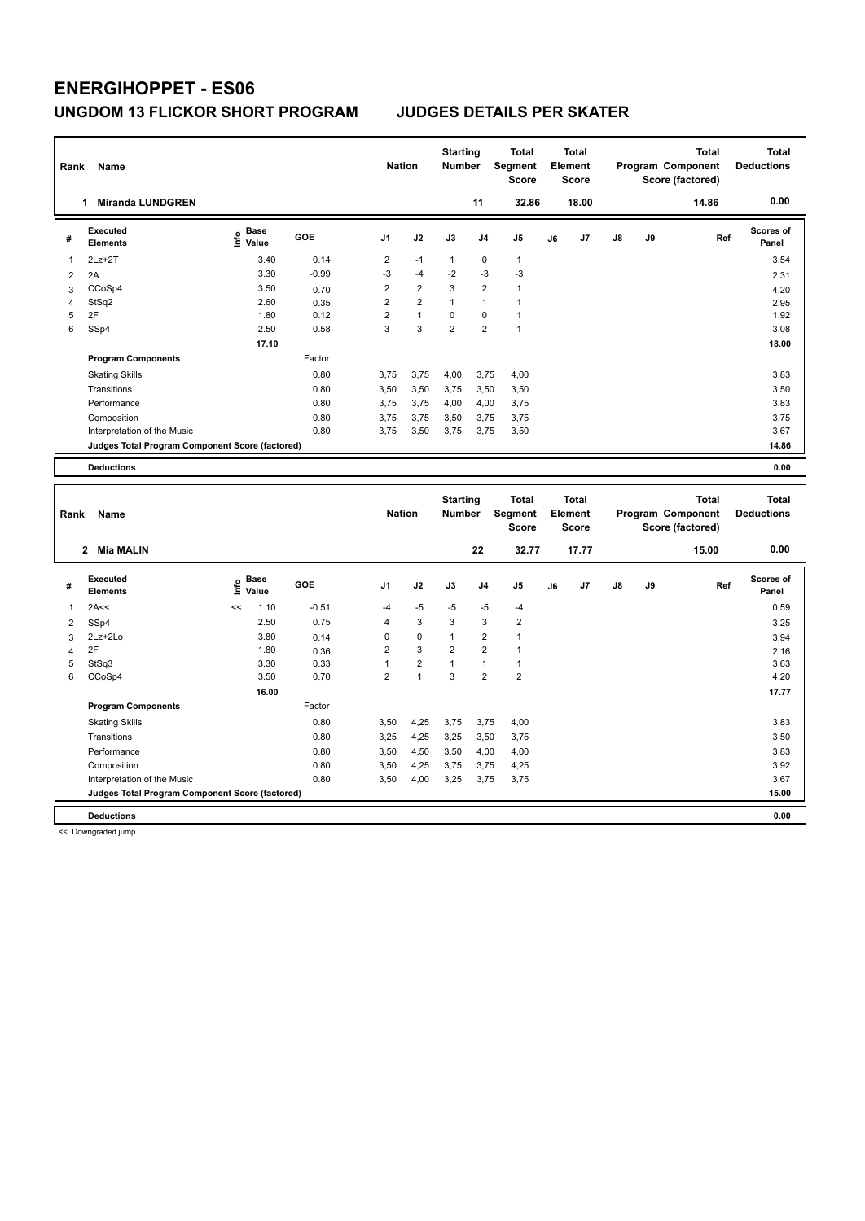| Rank                    | Name                                            |                              |                 | <b>Nation</b>           |                | <b>Starting</b><br>Number |                      | <b>Total</b><br>Segment<br><b>Score</b> |    | Total<br>Element<br><b>Score</b> |    |    | <b>Total</b><br>Program Component<br>Score (factored) | <b>Total</b><br><b>Deductions</b> |
|-------------------------|-------------------------------------------------|------------------------------|-----------------|-------------------------|----------------|---------------------------|----------------------|-----------------------------------------|----|----------------------------------|----|----|-------------------------------------------------------|-----------------------------------|
|                         | <b>Miranda LUNDGREN</b><br>1                    |                              |                 |                         |                |                           | 11                   | 32.86                                   |    | 18.00                            |    |    | 14.86                                                 | 0.00                              |
| #                       | <b>Executed</b><br><b>Elements</b>              | <b>Base</b><br>۴<br>Value    | <b>GOE</b>      | J <sub>1</sub>          | J2             | J3                        | J4                   | J <sub>5</sub>                          | J6 | J7                               | J8 | J9 | Ref                                                   | Scores of<br>Panel                |
| 1                       | $2Lz+2T$                                        | 3.40                         | 0.14            | $\overline{\mathbf{c}}$ | $-1$           | $\mathbf{1}$              | $\mathbf 0$          | $\mathbf{1}$                            |    |                                  |    |    |                                                       | 3.54                              |
| $\overline{2}$          | 2A                                              | 3.30                         | $-0.99$         | $-3$                    | $-4$           | $-2$                      | $-3$                 | -3                                      |    |                                  |    |    |                                                       | 2.31                              |
| 3                       | CCoSp4                                          | 3.50                         | 0.70            | $\overline{2}$          | $\overline{2}$ | 3                         | $\overline{2}$       | $\mathbf{1}$                            |    |                                  |    |    |                                                       | 4.20                              |
| $\overline{\mathbf{4}}$ | StSq2                                           | 2.60                         | 0.35            | $\overline{2}$          | $\overline{2}$ | $\mathbf{1}$              | $\mathbf{1}$         | $\mathbf{1}$                            |    |                                  |    |    |                                                       | 2.95                              |
| 5                       | 2F                                              | 1.80                         | 0.12            | $\overline{2}$          | $\overline{1}$ | $\mathbf 0$               | $\mathbf 0$          | $\mathbf{1}$                            |    |                                  |    |    |                                                       | 1.92                              |
| 6                       | SSp4                                            | 2.50                         | 0.58            | 3                       | 3              | $\overline{2}$            | $\overline{2}$       | $\mathbf{1}$                            |    |                                  |    |    |                                                       | 3.08                              |
|                         |                                                 | 17.10                        |                 |                         |                |                           |                      |                                         |    |                                  |    |    |                                                       | 18.00                             |
|                         | <b>Program Components</b>                       |                              | Factor          |                         |                |                           |                      |                                         |    |                                  |    |    |                                                       |                                   |
|                         | <b>Skating Skills</b>                           |                              | 0.80            | 3,75                    | 3,75           | 4,00                      | 3,75                 | 4,00                                    |    |                                  |    |    |                                                       | 3.83                              |
|                         | Transitions                                     |                              | 0.80            | 3,50                    | 3,50           | 3,75                      | 3,50                 | 3,50                                    |    |                                  |    |    |                                                       | 3.50                              |
|                         | Performance                                     |                              | 0.80            | 3,75                    | 3,75           | 4,00                      | 4,00                 | 3,75                                    |    |                                  |    |    |                                                       | 3.83                              |
|                         | Composition                                     |                              | 0.80            | 3,75                    | 3,75           | 3,50                      | 3,75                 | 3,75                                    |    |                                  |    |    |                                                       | 3.75                              |
|                         | Interpretation of the Music                     |                              | 0.80            | 3,75                    | 3,50           | 3,75                      | 3,75                 | 3,50                                    |    |                                  |    |    |                                                       | 3.67                              |
|                         | Judges Total Program Component Score (factored) |                              |                 |                         |                |                           |                      |                                         |    |                                  |    |    |                                                       | 14.86                             |
|                         | <b>Deductions</b>                               |                              |                 |                         |                |                           |                      |                                         |    |                                  |    |    |                                                       | 0.00                              |
|                         |                                                 |                              |                 |                         |                |                           |                      |                                         |    |                                  |    |    |                                                       |                                   |
|                         |                                                 |                              |                 |                         |                |                           |                      |                                         |    |                                  |    |    |                                                       |                                   |
|                         |                                                 |                              |                 |                         |                | <b>Starting</b>           |                      | <b>Total</b>                            |    | <b>Total</b>                     |    |    | <b>Total</b>                                          | <b>Total</b>                      |
| Rank                    | Name                                            |                              |                 | <b>Nation</b>           |                | <b>Number</b>             |                      | Segment                                 |    | Element                          |    |    | Program Component                                     | <b>Deductions</b>                 |
|                         |                                                 |                              |                 |                         |                |                           |                      | <b>Score</b>                            |    | <b>Score</b>                     |    |    | Score (factored)                                      |                                   |
|                         | 2 Mia MALIN                                     |                              |                 |                         |                |                           | 22                   | 32.77                                   |    | 17.77                            |    |    | 15.00                                                 | 0.00                              |
| #                       | <b>Executed</b><br><b>Elements</b>              | <b>Base</b><br>lnfo<br>Value | GOE             | J1                      | J2             | J3                        | J4                   | J <sub>5</sub>                          | J6 | J7                               | J8 | J9 | Ref                                                   | <b>Scores of</b><br>Panel         |
|                         |                                                 | <<                           |                 |                         |                |                           |                      |                                         |    |                                  |    |    |                                                       |                                   |
| 1                       | 2A<<                                            | 1.10<br>2.50                 | $-0.51$<br>0.75 | $-4$<br>$\overline{4}$  | $-5$<br>3      | $-5$<br>3                 | $-5$<br>$\mathbf{3}$ | -4<br>$\overline{2}$                    |    |                                  |    |    |                                                       | 0.59                              |
| $\overline{2}$          | SSp4<br>2Lz+2Lo                                 | 3.80                         |                 | $\mathbf 0$             | $\mathbf 0$    | $\mathbf{1}$              | $\overline{2}$       | $\mathbf{1}$                            |    |                                  |    |    |                                                       | 3.25                              |
| 3<br>$\overline{4}$     | 2F                                              | 1.80                         | 0.14            | $\overline{2}$          | 3              | $\overline{2}$            | $\overline{2}$       | $\mathbf{1}$                            |    |                                  |    |    |                                                       | 3.94                              |
| 5                       | StSq3                                           | 3.30                         | 0.36<br>0.33    | $\mathbf{1}$            | $\mathbf 2$    | $\mathbf{1}$              | $\mathbf{1}$         | $\mathbf{1}$                            |    |                                  |    |    |                                                       | 2.16<br>3.63                      |
| 6                       | CCoSp4                                          | 3.50                         | 0.70            | $\overline{2}$          | $\mathbf{1}$   | 3                         | $\overline{2}$       | $\overline{2}$                          |    |                                  |    |    |                                                       | 4.20                              |
|                         |                                                 | 16.00                        |                 |                         |                |                           |                      |                                         |    |                                  |    |    |                                                       | 17.77                             |
|                         | <b>Program Components</b>                       |                              | Factor          |                         |                |                           |                      |                                         |    |                                  |    |    |                                                       |                                   |
|                         | <b>Skating Skills</b>                           |                              | 0.80            | 3,50                    | 4,25           | 3,75                      | 3,75                 | 4,00                                    |    |                                  |    |    |                                                       | 3.83                              |
|                         | Transitions                                     |                              | 0.80            | 3,25                    | 4,25           | 3,25                      | 3,50                 | 3,75                                    |    |                                  |    |    |                                                       | 3.50                              |
|                         | Performance                                     |                              | 0.80            | 3,50                    | 4,50           | 3,50                      | 4,00                 | 4,00                                    |    |                                  |    |    |                                                       | 3.83                              |
|                         | Composition                                     |                              | 0.80            | 3,50                    | 4,25           | 3,75                      | 3,75                 | 4,25                                    |    |                                  |    |    |                                                       | 3.92                              |
|                         | Interpretation of the Music                     |                              | 0.80            | 3,50                    | 4,00           | 3,25                      | 3,75                 | 3,75                                    |    |                                  |    |    |                                                       | 3.67                              |
|                         | Judges Total Program Component Score (factored) |                              |                 |                         |                |                           |                      |                                         |    |                                  |    |    |                                                       | 15.00                             |

Deductions<br>
<< Downgraded jump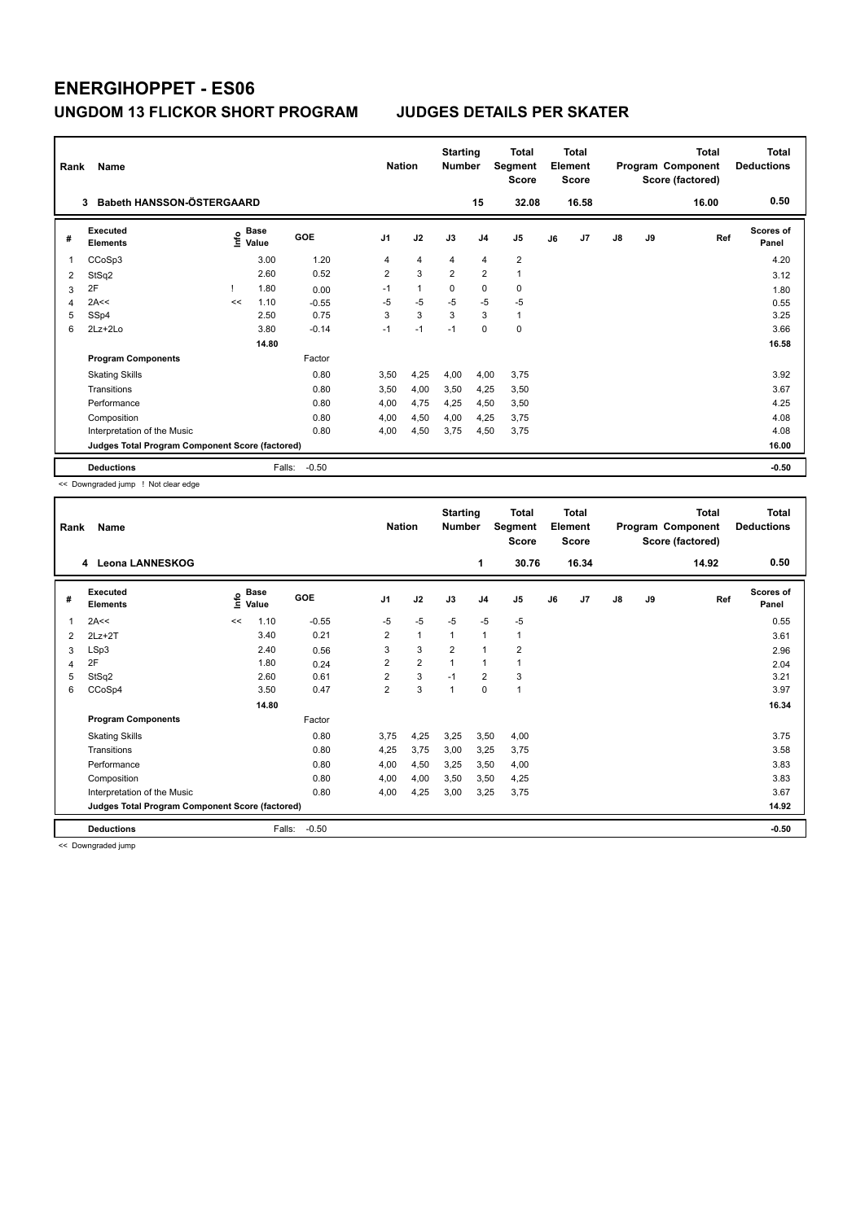| Rank           | Name<br><b>Babeth HANSSON-ÖSTERGAARD</b><br>3   | <b>Nation</b> |                      | <b>Starting</b><br><b>Number</b> | 15             | <b>Total</b><br>Segment<br><b>Score</b><br>32.08 |                | <b>Total</b><br>Element<br><b>Score</b><br>16.58 |                         |    | <b>Total</b><br>Program Component<br>Score (factored)<br>16.00 | Total<br><b>Deductions</b><br>0.50 |    |     |                    |
|----------------|-------------------------------------------------|---------------|----------------------|----------------------------------|----------------|--------------------------------------------------|----------------|--------------------------------------------------|-------------------------|----|----------------------------------------------------------------|------------------------------------|----|-----|--------------------|
| #              | Executed<br><b>Elements</b>                     | Info          | <b>Base</b><br>Value | GOE                              | J <sub>1</sub> | J2                                               | J3             | J <sub>4</sub>                                   | J <sub>5</sub>          | J6 | J7                                                             | $\mathsf{J}8$                      | J9 | Ref | Scores of<br>Panel |
| 1              | CCoSp3                                          |               | 3.00                 | 1.20                             | 4              | $\overline{4}$                                   | 4              | $\overline{4}$                                   | $\overline{\mathbf{c}}$ |    |                                                                |                                    |    |     | 4.20               |
| 2              | StSq2                                           |               | 2.60                 | 0.52                             | $\overline{2}$ | 3                                                | $\overline{2}$ | $\overline{2}$                                   | $\mathbf{1}$            |    |                                                                |                                    |    |     | 3.12               |
| 3              | 2F                                              |               | 1.80                 | 0.00                             | $-1$           | $\mathbf{1}$                                     | $\mathbf 0$    | $\mathbf 0$                                      | $\pmb{0}$               |    |                                                                |                                    |    |     | 1.80               |
| $\overline{4}$ | 2A<<                                            | <<            | 1.10                 | $-0.55$                          | $-5$           | $-5$                                             | $-5$           | $-5$                                             | $-5$                    |    |                                                                |                                    |    |     | 0.55               |
| 5              | SSp4                                            |               | 2.50                 | 0.75                             | 3              | 3                                                | 3              | 3                                                | $\mathbf{1}$            |    |                                                                |                                    |    |     | 3.25               |
| 6              | 2Lz+2Lo                                         |               | 3.80                 | $-0.14$                          | $-1$           | $-1$                                             | $-1$           | $\mathbf 0$                                      | $\mathbf 0$             |    |                                                                |                                    |    |     | 3.66               |
|                |                                                 |               | 14.80                |                                  |                |                                                  |                |                                                  |                         |    |                                                                |                                    |    |     | 16.58              |
|                | <b>Program Components</b>                       |               |                      | Factor                           |                |                                                  |                |                                                  |                         |    |                                                                |                                    |    |     |                    |
|                | <b>Skating Skills</b>                           |               |                      | 0.80                             | 3,50           | 4,25                                             | 4,00           | 4,00                                             | 3,75                    |    |                                                                |                                    |    |     | 3.92               |
|                | Transitions                                     |               |                      | 0.80                             | 3,50           | 4,00                                             | 3,50           | 4,25                                             | 3,50                    |    |                                                                |                                    |    |     | 3.67               |
|                | Performance                                     |               |                      | 0.80                             | 4,00           | 4,75                                             | 4,25           | 4,50                                             | 3,50                    |    |                                                                |                                    |    |     | 4.25               |
|                | Composition                                     |               |                      | 0.80                             | 4,00           | 4,50                                             | 4,00           | 4,25                                             | 3,75                    |    |                                                                |                                    |    |     | 4.08               |
|                | Interpretation of the Music                     |               |                      | 0.80                             | 4,00           | 4,50                                             | 3,75           | 4,50                                             | 3,75                    |    |                                                                |                                    |    |     | 4.08               |
|                | Judges Total Program Component Score (factored) |               |                      |                                  |                |                                                  |                |                                                  |                         |    |                                                                |                                    |    |     | 16.00              |
|                | <b>Deductions</b>                               |               | Falls:               | $-0.50$                          |                |                                                  |                |                                                  |                         |    |                                                                |                                    |    |     | $-0.50$            |

<< Downgraded jump ! Not clear edge

| Rank | Name                                            | <b>Nation</b> |               | <b>Starting</b><br><b>Number</b> |                | <b>Total</b><br>Segment<br><b>Score</b> |                | <b>Total</b><br>Element<br><b>Score</b> |                |    | <b>Total</b><br>Program Component<br>Score (factored) | <b>Total</b><br><b>Deductions</b> |    |       |                           |
|------|-------------------------------------------------|---------------|---------------|----------------------------------|----------------|-----------------------------------------|----------------|-----------------------------------------|----------------|----|-------------------------------------------------------|-----------------------------------|----|-------|---------------------------|
|      | 4 Leona LANNESKOG                               |               |               |                                  |                |                                         |                | 1                                       | 30.76          |    | 16.34                                                 |                                   |    | 14.92 | 0.50                      |
| #    | <b>Executed</b><br><b>Elements</b>              | ١nfo          | Base<br>Value | GOE                              | J <sub>1</sub> | J2                                      | J3             | J <sub>4</sub>                          | J <sub>5</sub> | J6 | J7                                                    | J8                                | J9 | Ref   | <b>Scores of</b><br>Panel |
| 1    | 2A<<                                            | <<            | 1.10          | $-0.55$                          | $-5$           | $-5$                                    | $-5$           | $-5$                                    | $-5$           |    |                                                       |                                   |    |       | 0.55                      |
| 2    | $2Lz+2T$                                        |               | 3.40          | 0.21                             | $\overline{2}$ | $\mathbf{1}$                            | $\mathbf{1}$   | $\mathbf{1}$                            | 1              |    |                                                       |                                   |    |       | 3.61                      |
| 3    | LSp3                                            |               | 2.40          | 0.56                             | 3              | 3                                       | $\overline{2}$ | $\mathbf{1}$                            | $\overline{2}$ |    |                                                       |                                   |    |       | 2.96                      |
| 4    | 2F                                              |               | 1.80          | 0.24                             | 2              | $\overline{2}$                          | 1              | $\mathbf{1}$                            | 1              |    |                                                       |                                   |    |       | 2.04                      |
| 5    | StSq2                                           |               | 2.60          | 0.61                             | $\overline{2}$ | 3                                       | $-1$           | $\overline{2}$                          | 3              |    |                                                       |                                   |    |       | 3.21                      |
| 6    | CCoSp4                                          |               | 3.50          | 0.47                             | $\overline{2}$ | 3                                       | $\overline{1}$ | $\mathbf 0$                             | $\mathbf{1}$   |    |                                                       |                                   |    |       | 3.97                      |
|      |                                                 |               | 14.80         |                                  |                |                                         |                |                                         |                |    |                                                       |                                   |    |       | 16.34                     |
|      | <b>Program Components</b>                       |               |               | Factor                           |                |                                         |                |                                         |                |    |                                                       |                                   |    |       |                           |
|      | <b>Skating Skills</b>                           |               |               | 0.80                             | 3,75           | 4,25                                    | 3,25           | 3,50                                    | 4,00           |    |                                                       |                                   |    |       | 3.75                      |
|      | Transitions                                     |               |               | 0.80                             | 4,25           | 3,75                                    | 3,00           | 3,25                                    | 3,75           |    |                                                       |                                   |    |       | 3.58                      |
|      | Performance                                     |               |               | 0.80                             | 4,00           | 4,50                                    | 3,25           | 3,50                                    | 4,00           |    |                                                       |                                   |    |       | 3.83                      |
|      | Composition                                     |               |               | 0.80                             | 4,00           | 4,00                                    | 3,50           | 3,50                                    | 4,25           |    |                                                       |                                   |    |       | 3.83                      |
|      | Interpretation of the Music                     |               |               | 0.80                             | 4,00           | 4,25                                    | 3,00           | 3,25                                    | 3,75           |    |                                                       |                                   |    |       | 3.67                      |
|      | Judges Total Program Component Score (factored) |               |               |                                  |                |                                         |                |                                         |                |    |                                                       | 14.92                             |    |       |                           |
|      | <b>Deductions</b>                               |               | Falls:        | $-0.50$                          |                |                                         |                |                                         |                |    |                                                       |                                   |    |       | $-0.50$                   |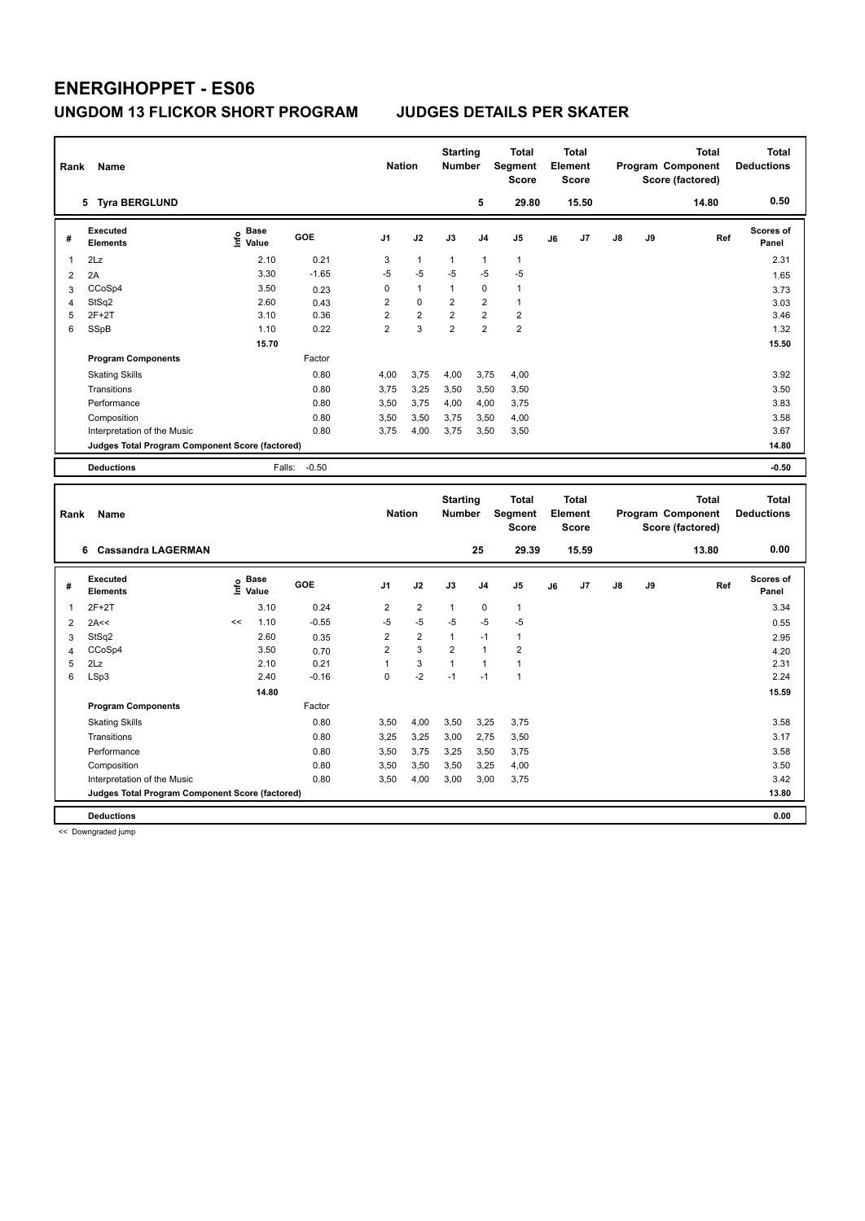| Rank   | Name                                            |                     |                 | <b>Nation</b>     |                         | <b>Starting</b><br><b>Number</b> |                      | <b>Total</b><br>Segment<br><b>Score</b> |    | <b>Total</b><br>Element<br><b>Score</b> |    |    | <b>Total</b><br>Program Component<br>Score (factored) | <b>Total</b><br><b>Deductions</b> |
|--------|-------------------------------------------------|---------------------|-----------------|-------------------|-------------------------|----------------------------------|----------------------|-----------------------------------------|----|-----------------------------------------|----|----|-------------------------------------------------------|-----------------------------------|
|        | 5 Tyra BERGLUND                                 |                     |                 |                   |                         |                                  | 5                    | 29.80                                   |    | 15.50                                   |    |    | 14.80                                                 | 0.50                              |
| #      | <b>Executed</b><br><b>Elements</b>              | Base<br>۴ů<br>Value | GOE             | J <sub>1</sub>    | J2                      | J3                               | J <sub>4</sub>       | J5                                      | J6 | J7                                      | J8 | J9 | Ref                                                   | <b>Scores of</b><br>Panel         |
| 1      | 2Lz                                             | 2.10                | 0.21            | 3                 | $\mathbf{1}$            | $\mathbf{1}$                     | $\mathbf{1}$         | $\mathbf{1}$                            |    |                                         |    |    |                                                       | 2.31                              |
| 2      | 2A                                              | 3.30                | $-1.65$         | $-5$              | $-5$                    | $-5$                             | $-5$                 | $-5$                                    |    |                                         |    |    |                                                       | 1.65                              |
| 3      | CCoSp4                                          | 3.50                | 0.23            | 0                 | $\mathbf{1}$            | $\mathbf{1}$                     | $\mathbf 0$          | $\mathbf{1}$                            |    |                                         |    |    |                                                       | 3.73                              |
| 4      | StSq2                                           | 2.60                | 0.43            | $\overline{c}$    | $\mathbf 0$             | $\overline{2}$                   | $\overline{2}$       | $\mathbf{1}$                            |    |                                         |    |    |                                                       | 3.03                              |
| 5      | $2F+2T$                                         | 3.10                | 0.36            | $\overline{2}$    | $\overline{2}$          | $\overline{2}$                   | $\overline{2}$       | $\overline{2}$                          |    |                                         |    |    |                                                       | 3.46                              |
| 6      | <b>SSpB</b>                                     | 1.10                | 0.22            | $\overline{2}$    | 3                       | $\overline{2}$                   | $\overline{2}$       | $\overline{2}$                          |    |                                         |    |    |                                                       | 1.32                              |
|        |                                                 | 15.70               |                 |                   |                         |                                  |                      |                                         |    |                                         |    |    |                                                       | 15.50                             |
|        | <b>Program Components</b>                       |                     | Factor          |                   |                         |                                  |                      |                                         |    |                                         |    |    |                                                       |                                   |
|        | <b>Skating Skills</b>                           |                     | 0.80            | 4,00              | 3,75                    | 4,00                             | 3,75                 | 4,00                                    |    |                                         |    |    |                                                       | 3.92                              |
|        | Transitions                                     |                     | 0.80            | 3,75              | 3,25                    | 3,50                             | 3,50                 | 3,50                                    |    |                                         |    |    |                                                       | 3.50                              |
|        | Performance                                     |                     | 0.80            | 3,50              | 3,75                    | 4,00                             | 4,00                 | 3,75                                    |    |                                         |    |    |                                                       | 3.83                              |
|        | Composition                                     |                     | 0.80            | 3,50              | 3,50                    | 3,75                             | 3,50                 | 4,00                                    |    |                                         |    |    |                                                       | 3.58                              |
|        | Interpretation of the Music                     |                     | 0.80            | 3,75              | 4,00                    | 3,75                             | 3,50                 | 3,50                                    |    |                                         |    |    |                                                       | 3.67                              |
|        | Judges Total Program Component Score (factored) |                     |                 |                   |                         |                                  |                      |                                         |    |                                         |    |    |                                                       | 14.80                             |
|        | <b>Deductions</b>                               | Falls:              | $-0.50$         |                   |                         |                                  |                      |                                         |    |                                         |    |    |                                                       | $-0.50$                           |
|        |                                                 |                     |                 |                   |                         |                                  |                      |                                         |    |                                         |    |    |                                                       |                                   |
|        |                                                 |                     |                 |                   |                         |                                  |                      |                                         |    |                                         |    |    |                                                       |                                   |
| Rank   | Name                                            |                     |                 | <b>Nation</b>     |                         | <b>Starting</b><br><b>Number</b> |                      | <b>Total</b><br>Segment<br><b>Score</b> |    | <b>Total</b><br>Element<br><b>Score</b> |    |    | <b>Total</b><br>Program Component<br>Score (factored) | <b>Total</b><br><b>Deductions</b> |
|        | 6 Cassandra LAGERMAN                            |                     |                 |                   |                         |                                  | 25                   | 29.39                                   |    | 15.59                                   |    |    | 13.80                                                 | 0.00                              |
| #      | <b>Executed</b><br><b>Elements</b>              |                     | GOE             | J <sub>1</sub>    | J2                      | J3                               | J <sub>4</sub>       | J5                                      | J6 | J7                                      | J8 | J9 | Ref                                                   | Scores of<br>Panel                |
|        |                                                 | $rac{e}{E}$ Base    |                 |                   |                         |                                  |                      |                                         |    |                                         |    |    |                                                       |                                   |
| 1      | $2F+2T$                                         | 3.10                | 0.24            | $\overline{2}$    | $\overline{2}$          | $\mathbf{1}$                     | $\pmb{0}$            | $\mathbf{1}$                            |    |                                         |    |    |                                                       | 3.34                              |
| 2      | 2A<<                                            | 1.10<br><<          | $-0.55$         | $-5$              | $-5$                    | $-5$                             | $-5$                 | $-5$                                    |    |                                         |    |    |                                                       | 0.55                              |
| 3      | StSq2                                           | 2.60                | 0.35            | $\overline{2}$    | $\overline{\mathbf{c}}$ | 1                                | $-1$                 | $\mathbf{1}$                            |    |                                         |    |    |                                                       | 2.95                              |
| 4      | CCoSp4                                          | 3.50                | 0.70            | $\overline{c}$    | 3                       | $\overline{\mathbf{c}}$          | $\mathbf{1}$         | $\overline{2}$                          |    |                                         |    |    |                                                       | 4.20                              |
| 5<br>6 | 2Lz                                             | 2.10<br>2.40        | 0.21<br>$-0.16$ | $\mathbf{1}$<br>0 | 3<br>$-2$               | $\mathbf{1}$<br>$-1$             | $\mathbf{1}$<br>$-1$ | $\mathbf{1}$<br>$\mathbf{1}$            |    |                                         |    |    |                                                       | 2.31<br>2.24                      |
|        | LSp3                                            |                     |                 |                   |                         |                                  |                      |                                         |    |                                         |    |    |                                                       |                                   |
|        | <b>Program Components</b>                       | 14.80               | Factor          |                   |                         |                                  |                      |                                         |    |                                         |    |    |                                                       | 15.59                             |
|        | <b>Skating Skills</b>                           |                     | 0.80            | 3,50              | 4,00                    | 3,50                             | 3,25                 | 3,75                                    |    |                                         |    |    |                                                       | 3.58                              |
|        | Transitions                                     |                     | 0.80            | 3,25              | 3,25                    | 3,00                             | 2,75                 | 3,50                                    |    |                                         |    |    |                                                       | 3.17                              |
|        | Performance                                     |                     | 0.80            | 3,50              | 3,75                    | 3,25                             | 3,50                 | 3,75                                    |    |                                         |    |    |                                                       | 3.58                              |
|        | Composition                                     |                     | 0.80            | 3,50              | 3,50                    | 3,50                             | 3,25                 | 4,00                                    |    |                                         |    |    |                                                       | 3.50                              |
|        | Interpretation of the Music                     |                     | 0.80            | 3,50              | 4,00                    | 3,00                             | 3,00                 | 3,75                                    |    |                                         |    |    |                                                       | 3.42                              |
|        | Judges Total Program Component Score (factored) |                     |                 |                   |                         |                                  |                      |                                         |    |                                         |    |    |                                                       | 13.80                             |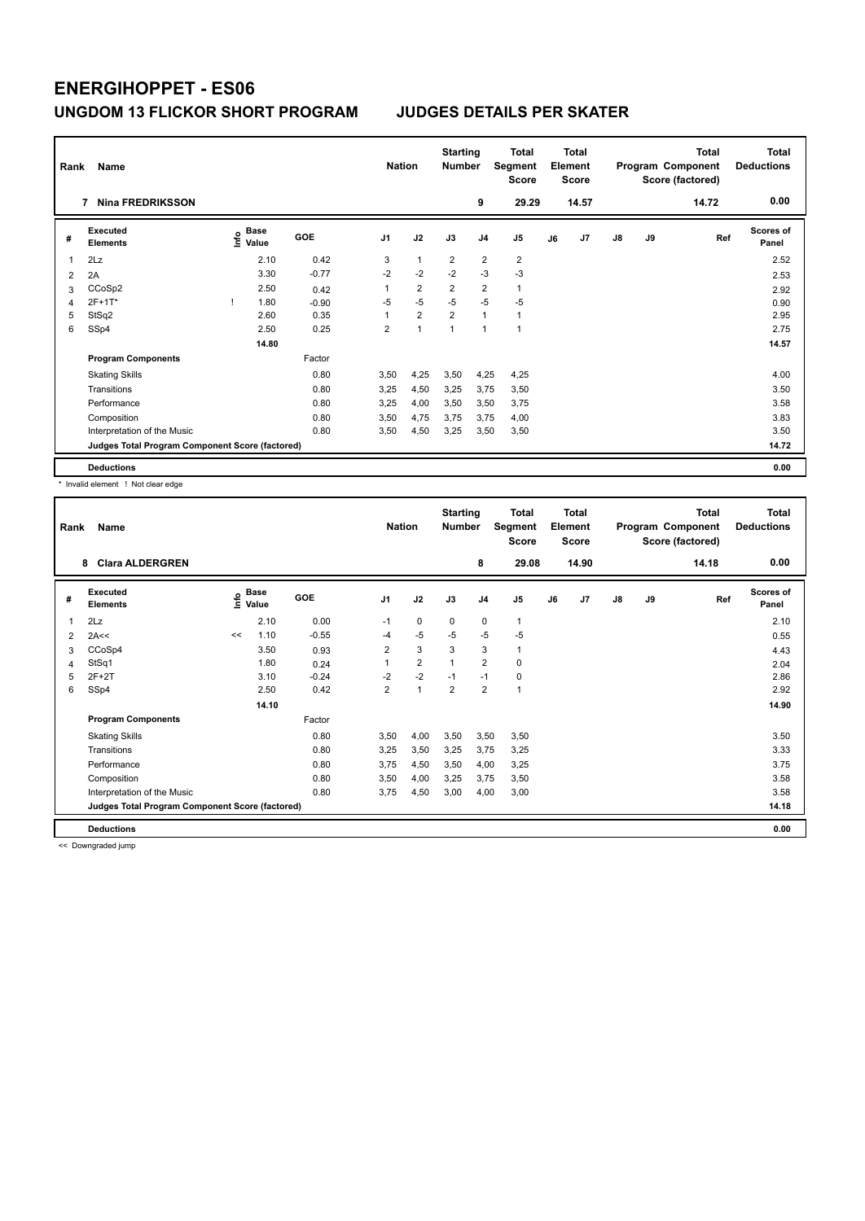| Rank | Name                                            | <b>Nation</b> |                      | <b>Starting</b><br><b>Number</b> |                | <b>Total</b><br>Segment<br><b>Score</b> |                | <b>Total</b><br>Element<br><b>Score</b> |                |    | <b>Total</b><br>Program Component<br>Score (factored) | <b>Total</b><br><b>Deductions</b> |    |       |                           |
|------|-------------------------------------------------|---------------|----------------------|----------------------------------|----------------|-----------------------------------------|----------------|-----------------------------------------|----------------|----|-------------------------------------------------------|-----------------------------------|----|-------|---------------------------|
|      | <b>Nina FREDRIKSSON</b><br>7                    |               |                      |                                  |                |                                         |                | 9                                       | 29.29          |    | 14.57                                                 |                                   |    | 14.72 | 0.00                      |
| #    | <b>Executed</b><br><b>Elements</b>              | ١nfo          | <b>Base</b><br>Value | <b>GOE</b>                       | J <sub>1</sub> | J2                                      | J3             | J <sub>4</sub>                          | J5             | J6 | J7                                                    | $\mathsf{J}8$                     | J9 | Ref   | <b>Scores of</b><br>Panel |
|      | 2Lz                                             |               | 2.10                 | 0.42                             | 3              | $\overline{1}$                          | $\overline{2}$ | $\overline{2}$                          | $\overline{2}$ |    |                                                       |                                   |    |       | 2.52                      |
| 2    | 2A                                              |               | 3.30                 | $-0.77$                          | $-2$           | $-2$                                    | $-2$           | $-3$                                    | $-3$           |    |                                                       |                                   |    |       | 2.53                      |
| 3    | CCoSp2                                          |               | 2.50                 | 0.42                             | 1              | $\overline{2}$                          | $\overline{2}$ | $\overline{2}$                          | $\mathbf{1}$   |    |                                                       |                                   |    |       | 2.92                      |
| 4    | 2F+1T*                                          | -1            | 1.80                 | $-0.90$                          | $-5$           | $-5$                                    | $-5$           | $-5$                                    | $-5$           |    |                                                       |                                   |    |       | 0.90                      |
| 5    | StSq2                                           |               | 2.60                 | 0.35                             | 1              | $\overline{2}$                          | $\overline{2}$ | $\overline{1}$                          | $\mathbf{1}$   |    |                                                       |                                   |    |       | 2.95                      |
| 6    | SSp4                                            |               | 2.50                 | 0.25                             | $\overline{2}$ | 1                                       | 1              | $\overline{1}$                          | 1              |    |                                                       |                                   |    |       | 2.75                      |
|      |                                                 |               | 14.80                |                                  |                |                                         |                |                                         |                |    |                                                       |                                   |    |       | 14.57                     |
|      | <b>Program Components</b>                       |               |                      | Factor                           |                |                                         |                |                                         |                |    |                                                       |                                   |    |       |                           |
|      | <b>Skating Skills</b>                           |               |                      | 0.80                             | 3.50           | 4,25                                    | 3,50           | 4,25                                    | 4,25           |    |                                                       |                                   |    |       | 4.00                      |
|      | Transitions                                     |               |                      | 0.80                             | 3,25           | 4,50                                    | 3,25           | 3,75                                    | 3,50           |    |                                                       |                                   |    |       | 3.50                      |
|      | Performance                                     |               |                      | 0.80                             | 3.25           | 4,00                                    | 3,50           | 3,50                                    | 3,75           |    |                                                       |                                   |    |       | 3.58                      |
|      | Composition                                     |               |                      | 0.80                             | 3,50           | 4,75                                    | 3,75           | 3,75                                    | 4,00           |    |                                                       |                                   |    |       | 3.83                      |
|      | Interpretation of the Music                     |               |                      | 0.80                             | 3,50           | 4,50                                    | 3,25           | 3,50                                    | 3,50           |    |                                                       |                                   |    |       | 3.50                      |
|      | Judges Total Program Component Score (factored) |               |                      |                                  |                |                                         |                |                                         |                |    |                                                       |                                   |    |       | 14.72                     |
|      | <b>Deductions</b>                               |               |                      |                                  |                |                                         |                |                                         |                |    |                                                       |                                   |    |       | 0.00                      |

\* Invalid element ! Not clear edge

| Rank | Name<br><b>Clara ALDERGREN</b><br>8             |      |                      |            |                | <b>Nation</b>  | <b>Starting</b><br><b>Number</b> |                | <b>Total</b><br>Segment<br><b>Score</b> |    | <b>Total</b><br>Element<br><b>Score</b> |    |    | <b>Total</b><br>Program Component<br>Score (factored) | <b>Total</b><br><b>Deductions</b> |
|------|-------------------------------------------------|------|----------------------|------------|----------------|----------------|----------------------------------|----------------|-----------------------------------------|----|-----------------------------------------|----|----|-------------------------------------------------------|-----------------------------------|
|      |                                                 |      |                      |            |                |                |                                  | 8              | 29.08                                   |    | 14.90                                   |    |    | 14.18                                                 | 0.00                              |
| #    | Executed<br><b>Elements</b>                     | ١nf٥ | <b>Base</b><br>Value | <b>GOE</b> | J <sub>1</sub> | J2             | J3                               | J <sub>4</sub> | J <sub>5</sub>                          | J6 | J <sub>7</sub>                          | J8 | J9 | Ref                                                   | <b>Scores of</b><br>Panel         |
| 1    | 2Lz                                             |      | 2.10                 | 0.00       | $-1$           | 0              | 0                                | 0              | 1                                       |    |                                         |    |    |                                                       | 2.10                              |
| 2    | 2A<<                                            | <<   | 1.10                 | $-0.55$    | $-4$           | $-5$           | $-5$                             | $-5$           | $-5$                                    |    |                                         |    |    |                                                       | 0.55                              |
| 3    | CCoSp4                                          |      | 3.50                 | 0.93       | 2              | 3              | 3                                | 3              | 1                                       |    |                                         |    |    |                                                       | 4.43                              |
| 4    | StSq1                                           |      | 1.80                 | 0.24       | 1              | $\overline{2}$ | 1                                | $\overline{2}$ | 0                                       |    |                                         |    |    |                                                       | 2.04                              |
| 5    | $2F+2T$                                         |      | 3.10                 | $-0.24$    | $-2$           | $-2$           | $-1$                             | $-1$           | 0                                       |    |                                         |    |    |                                                       | 2.86                              |
| 6    | SSp4                                            |      | 2.50                 | 0.42       | $\overline{2}$ | $\mathbf 1$    | $\overline{\mathbf{c}}$          | $\overline{2}$ | 1                                       |    |                                         |    |    |                                                       | 2.92                              |
|      |                                                 |      | 14.10                |            |                |                |                                  |                |                                         |    |                                         |    |    |                                                       | 14.90                             |
|      | <b>Program Components</b>                       |      |                      | Factor     |                |                |                                  |                |                                         |    |                                         |    |    |                                                       |                                   |
|      | <b>Skating Skills</b>                           |      |                      | 0.80       | 3.50           | 4,00           | 3,50                             | 3,50           | 3.50                                    |    |                                         |    |    |                                                       | 3.50                              |
|      | Transitions                                     |      |                      | 0.80       | 3,25           | 3,50           | 3,25                             | 3,75           | 3,25                                    |    |                                         |    |    |                                                       | 3.33                              |
|      | Performance                                     |      |                      | 0.80       | 3.75           | 4,50           | 3.50                             | 4,00           | 3,25                                    |    |                                         |    |    |                                                       | 3.75                              |
|      | Composition                                     |      |                      | 0.80       | 3,50           | 4,00           | 3,25                             | 3,75           | 3,50                                    |    |                                         |    |    |                                                       | 3.58                              |
|      | Interpretation of the Music                     |      |                      | 0.80       | 3.75           | 4,50           | 3,00                             | 4,00           | 3,00                                    |    |                                         |    |    |                                                       | 3.58                              |
|      | Judges Total Program Component Score (factored) |      |                      |            |                |                |                                  |                |                                         |    |                                         |    |    |                                                       | 14.18                             |
|      | <b>Deductions</b>                               |      |                      |            |                |                |                                  |                |                                         |    |                                         |    |    |                                                       | 0.00                              |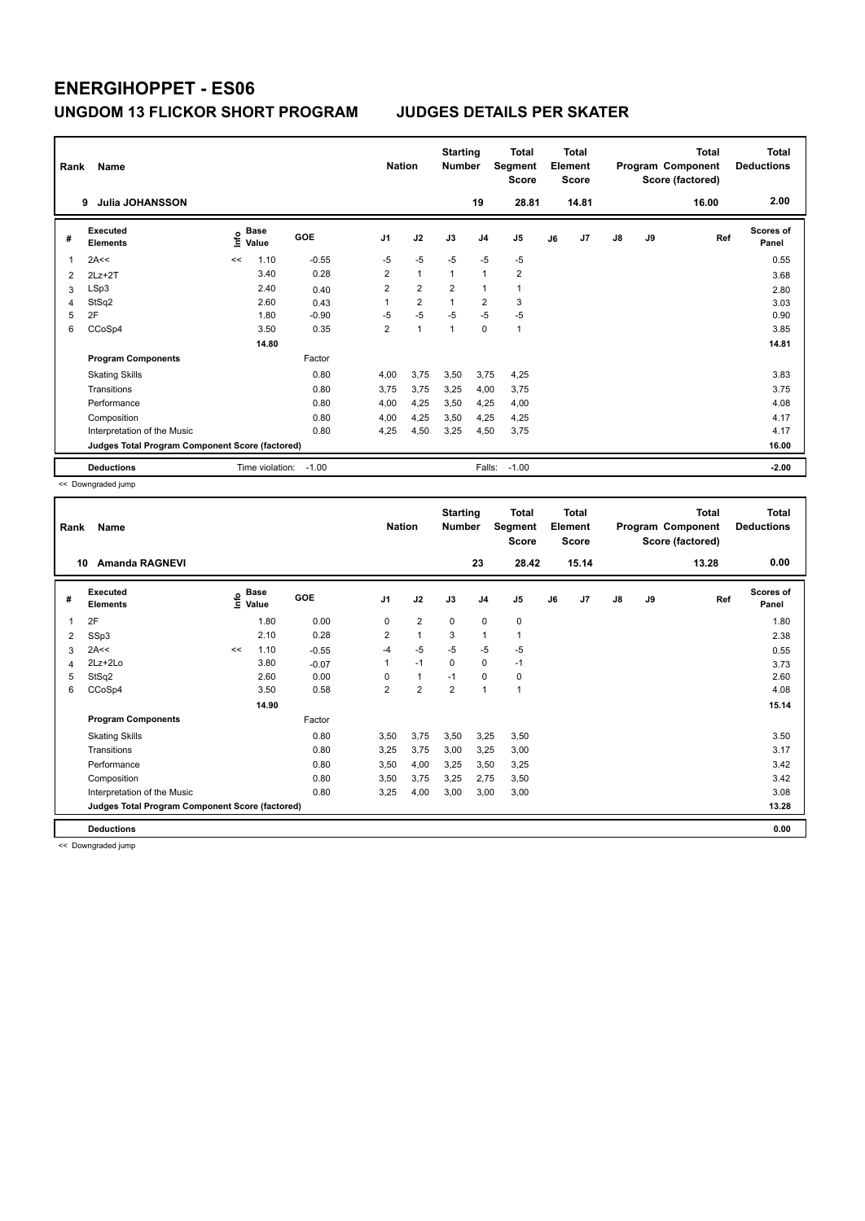| Rank | Name<br><b>Julia JOHANSSON</b><br>9             |      |                 |         | <b>Nation</b>  |                | <b>Starting</b><br><b>Number</b> | 19             | <b>Total</b><br>Segment<br><b>Score</b><br>28.81 |    | <b>Total</b><br>Element<br><b>Score</b><br>14.81 |               |           | <b>Total</b><br>Program Component<br>Score (factored)<br>16.00 | <b>Total</b><br><b>Deductions</b><br>2.00 |
|------|-------------------------------------------------|------|-----------------|---------|----------------|----------------|----------------------------------|----------------|--------------------------------------------------|----|--------------------------------------------------|---------------|-----------|----------------------------------------------------------------|-------------------------------------------|
| #    | <b>Executed</b><br><b>Elements</b>              | lnfo | Base<br>Value   | GOE     | J <sub>1</sub> | J2             | J3                               | J <sub>4</sub> | J5                                               | J6 | J7                                               | $\mathsf{J}8$ | <b>J9</b> | Ref                                                            | <b>Scores of</b><br>Panel                 |
| 1    | 2A<<                                            | <<   | 1.10            | $-0.55$ | $-5$           | $-5$           | $-5$                             | $-5$           | $-5$                                             |    |                                                  |               |           |                                                                | 0.55                                      |
| 2    | $2Lz+2T$                                        |      | 3.40            | 0.28    | $\overline{2}$ | $\mathbf{1}$   | $\overline{1}$                   | $\overline{1}$ | $\overline{2}$                                   |    |                                                  |               |           |                                                                | 3.68                                      |
| 3    | LSp3                                            |      | 2.40            | 0.40    | $\overline{2}$ | $\overline{2}$ | $\overline{2}$                   | 1              | 1                                                |    |                                                  |               |           |                                                                | 2.80                                      |
| 4    | StSq2                                           |      | 2.60            | 0.43    | 1              | $\overline{2}$ | $\overline{1}$                   | $\overline{2}$ | 3                                                |    |                                                  |               |           |                                                                | 3.03                                      |
| 5    | 2F                                              |      | 1.80            | $-0.90$ | $-5$           | $-5$           | $-5$                             | $-5$           | $-5$                                             |    |                                                  |               |           |                                                                | 0.90                                      |
| 6    | CCoSp4                                          |      | 3.50            | 0.35    | $\overline{2}$ | 1              | 1                                | $\mathbf 0$    | $\mathbf{1}$                                     |    |                                                  |               |           |                                                                | 3.85                                      |
|      |                                                 |      | 14.80           |         |                |                |                                  |                |                                                  |    |                                                  |               |           |                                                                | 14.81                                     |
|      | <b>Program Components</b>                       |      |                 | Factor  |                |                |                                  |                |                                                  |    |                                                  |               |           |                                                                |                                           |
|      | <b>Skating Skills</b>                           |      |                 | 0.80    | 4,00           | 3.75           | 3,50                             | 3,75           | 4,25                                             |    |                                                  |               |           |                                                                | 3.83                                      |
|      | Transitions                                     |      |                 | 0.80    | 3.75           | 3,75           | 3,25                             | 4,00           | 3,75                                             |    |                                                  |               |           |                                                                | 3.75                                      |
|      | Performance                                     |      |                 | 0.80    | 4,00           | 4,25           | 3,50                             | 4,25           | 4,00                                             |    |                                                  |               |           |                                                                | 4.08                                      |
|      | Composition                                     |      |                 | 0.80    | 4,00           | 4,25           | 3,50                             | 4,25           | 4,25                                             |    |                                                  |               |           |                                                                | 4.17                                      |
|      | Interpretation of the Music                     |      |                 | 0.80    | 4.25           | 4,50           | 3,25                             | 4,50           | 3,75                                             |    |                                                  |               |           |                                                                | 4.17                                      |
|      | Judges Total Program Component Score (factored) |      |                 |         |                |                |                                  |                |                                                  |    |                                                  |               |           |                                                                | 16.00                                     |
|      | <b>Deductions</b>                               |      | Time violation: | $-1.00$ |                |                |                                  | Falls:         | $-1.00$                                          |    |                                                  |               |           |                                                                | $-2.00$                                   |

<< Downgraded jump

| Rank | Name                                            | <b>Nation</b> |                      | <b>Starting</b><br><b>Number</b> |                         | <b>Total</b><br>Segment<br>Score |                | <b>Total</b><br>Element<br><b>Score</b> |       |    | <b>Total</b><br>Program Component<br>Score (factored) | <b>Total</b><br><b>Deductions</b> |    |       |                           |
|------|-------------------------------------------------|---------------|----------------------|----------------------------------|-------------------------|----------------------------------|----------------|-----------------------------------------|-------|----|-------------------------------------------------------|-----------------------------------|----|-------|---------------------------|
|      | <b>Amanda RAGNEVI</b><br>10                     |               |                      |                                  |                         |                                  |                | 23                                      | 28.42 |    | 15.14                                                 |                                   |    | 13.28 | 0.00                      |
| #    | Executed<br><b>Elements</b>                     | ١nfo          | <b>Base</b><br>Value | <b>GOE</b>                       | J <sub>1</sub>          | J2                               | J3             | J <sub>4</sub>                          | J5    | J6 | J7                                                    | $\mathsf{J}8$                     | J9 | Ref   | <b>Scores of</b><br>Panel |
| 1    | 2F                                              |               | 1.80                 | 0.00                             | 0                       | $\overline{2}$                   | 0              | $\mathbf 0$                             | 0     |    |                                                       |                                   |    |       | 1.80                      |
| 2    | SSp3                                            |               | 2.10                 | 0.28                             | $\overline{\mathbf{c}}$ | 1                                | 3              | 1                                       | 1     |    |                                                       |                                   |    |       | 2.38                      |
| 3    | 2A<<                                            | <<            | 1.10                 | $-0.55$                          | $-4$                    | $-5$                             | $-5$           | $-5$                                    | $-5$  |    |                                                       |                                   |    |       | 0.55                      |
| 4    | 2Lz+2Lo                                         |               | 3.80                 | $-0.07$                          | 1                       | $-1$                             | $\mathbf 0$    | $\mathbf 0$                             | $-1$  |    |                                                       |                                   |    |       | 3.73                      |
| 5    | StSq2                                           |               | 2.60                 | 0.00                             | $\Omega$                | $\mathbf{1}$                     | $-1$           | 0                                       | 0     |    |                                                       |                                   |    |       | 2.60                      |
| 6    | CCoSp4                                          |               | 3.50                 | 0.58                             | $\overline{2}$          | $\overline{2}$                   | $\overline{2}$ | 1                                       | 1     |    |                                                       |                                   |    |       | 4.08                      |
|      |                                                 |               | 14.90                |                                  |                         |                                  |                |                                         |       |    |                                                       |                                   |    |       | 15.14                     |
|      | <b>Program Components</b>                       |               |                      | Factor                           |                         |                                  |                |                                         |       |    |                                                       |                                   |    |       |                           |
|      | <b>Skating Skills</b>                           |               |                      | 0.80                             | 3,50                    | 3,75                             | 3,50           | 3,25                                    | 3,50  |    |                                                       |                                   |    |       | 3.50                      |
|      | Transitions                                     |               |                      | 0.80                             | 3,25                    | 3,75                             | 3,00           | 3,25                                    | 3,00  |    |                                                       |                                   |    |       | 3.17                      |
|      | Performance                                     |               |                      | 0.80                             | 3,50                    | 4,00                             | 3,25           | 3,50                                    | 3,25  |    |                                                       |                                   |    |       | 3.42                      |
|      | Composition                                     |               |                      | 0.80                             | 3,50                    | 3,75                             | 3,25           | 2,75                                    | 3,50  |    |                                                       |                                   |    |       | 3.42                      |
|      | Interpretation of the Music                     |               |                      | 0.80                             | 3,25                    | 4,00                             | 3,00           | 3,00                                    | 3,00  |    |                                                       |                                   |    |       | 3.08                      |
|      | Judges Total Program Component Score (factored) |               |                      |                                  |                         |                                  |                |                                         |       |    |                                                       |                                   |    |       | 13.28                     |
|      | <b>Deductions</b>                               |               |                      |                                  |                         |                                  |                |                                         |       |    |                                                       |                                   |    |       | 0.00                      |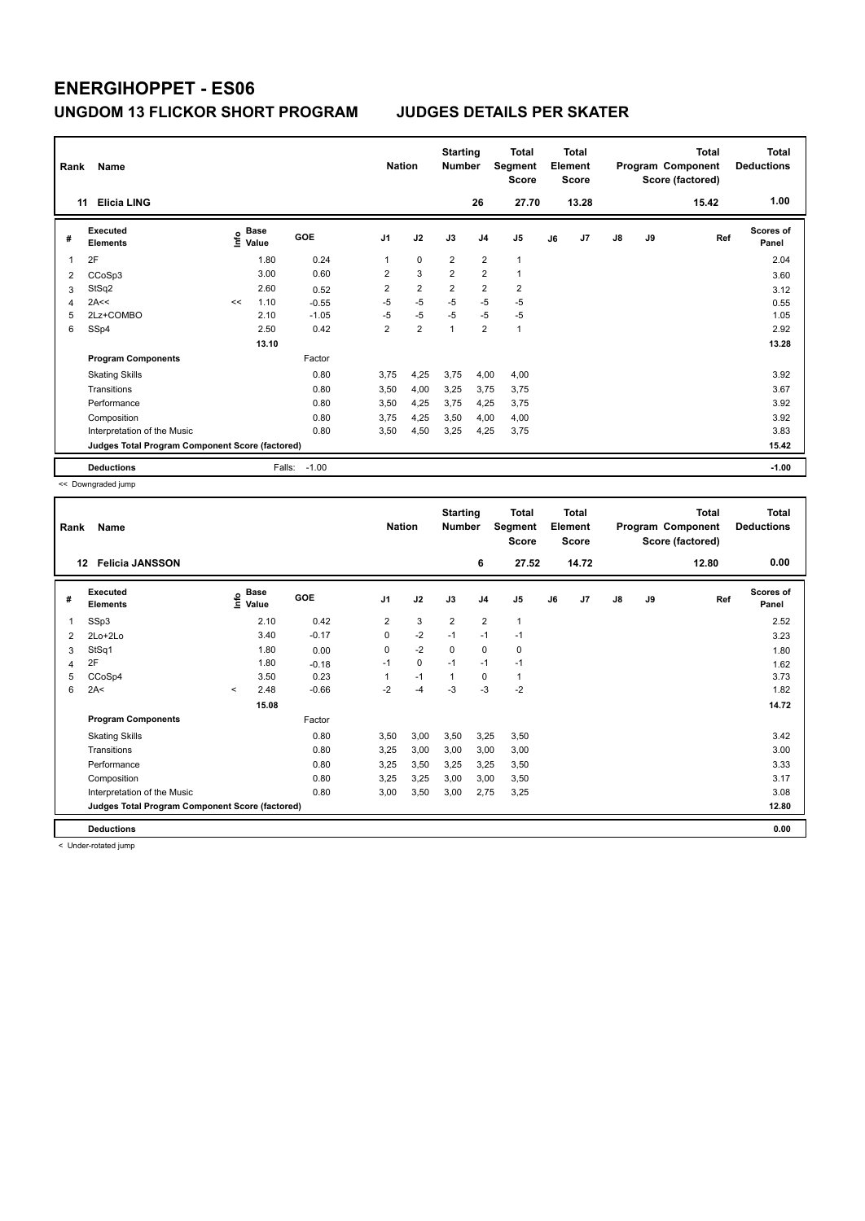| Rank           | Name                                            | <b>Nation</b> |                      | <b>Starting</b><br><b>Number</b> |                | <b>Total</b><br>Segment<br><b>Score</b> |                | <b>Total</b><br>Element<br><b>Score</b> |                |    | <b>Total</b><br>Program Component<br>Score (factored) | <b>Total</b><br><b>Deductions</b> |           |       |                    |
|----------------|-------------------------------------------------|---------------|----------------------|----------------------------------|----------------|-----------------------------------------|----------------|-----------------------------------------|----------------|----|-------------------------------------------------------|-----------------------------------|-----------|-------|--------------------|
|                | <b>Elicia LING</b><br>11                        |               |                      |                                  |                |                                         |                | 26                                      | 27.70          |    | 13.28                                                 |                                   |           | 15.42 | 1.00               |
| #              | Executed<br><b>Elements</b>                     | ١nfo          | <b>Base</b><br>Value | <b>GOE</b>                       | J <sub>1</sub> | J2                                      | J3             | J <sub>4</sub>                          | J5             | J6 | J7                                                    | $\mathsf{J}8$                     | <b>J9</b> | Ref   | Scores of<br>Panel |
|                | 2F                                              |               | 1.80                 | 0.24                             | 1              | $\mathbf 0$                             | $\overline{2}$ | $\overline{2}$                          | $\mathbf{1}$   |    |                                                       |                                   |           |       | 2.04               |
| $\overline{2}$ | CCoSp3                                          |               | 3.00                 | 0.60                             | 2              | 3                                       | $\overline{2}$ | $\overline{2}$                          | $\overline{1}$ |    |                                                       |                                   |           |       | 3.60               |
| 3              | StSq2                                           |               | 2.60                 | 0.52                             | $\overline{2}$ | $\overline{2}$                          | $\overline{2}$ | $\overline{2}$                          | $\overline{2}$ |    |                                                       |                                   |           |       | 3.12               |
| 4              | 2A<<                                            | <<            | 1.10                 | $-0.55$                          | $-5$           | $-5$                                    | $-5$           | -5                                      | $-5$           |    |                                                       |                                   |           |       | 0.55               |
| 5              | 2Lz+COMBO                                       |               | 2.10                 | $-1.05$                          | $-5$           | $-5$                                    | $-5$           | $-5$                                    | -5             |    |                                                       |                                   |           |       | 1.05               |
| 6              | SSp4                                            |               | 2.50                 | 0.42                             | $\overline{2}$ | $\overline{2}$                          | $\overline{1}$ | $\overline{2}$                          | $\mathbf{1}$   |    |                                                       |                                   |           |       | 2.92               |
|                |                                                 |               | 13.10                |                                  |                |                                         |                |                                         |                |    |                                                       |                                   |           |       | 13.28              |
|                | <b>Program Components</b>                       |               |                      | Factor                           |                |                                         |                |                                         |                |    |                                                       |                                   |           |       |                    |
|                | <b>Skating Skills</b>                           |               |                      | 0.80                             | 3,75           | 4,25                                    | 3,75           | 4,00                                    | 4,00           |    |                                                       |                                   |           |       | 3.92               |
|                | Transitions                                     |               |                      | 0.80                             | 3,50           | 4,00                                    | 3,25           | 3,75                                    | 3,75           |    |                                                       |                                   |           |       | 3.67               |
|                | Performance                                     |               |                      | 0.80                             | 3,50           | 4,25                                    | 3,75           | 4,25                                    | 3,75           |    |                                                       |                                   |           |       | 3.92               |
|                | Composition                                     |               |                      | 0.80                             | 3.75           | 4,25                                    | 3.50           | 4,00                                    | 4,00           |    |                                                       |                                   |           |       | 3.92               |
|                | Interpretation of the Music                     |               |                      | 0.80                             | 3,50           | 4,50                                    | 3,25           | 4,25                                    | 3,75           |    |                                                       |                                   |           |       | 3.83               |
|                | Judges Total Program Component Score (factored) |               |                      |                                  |                |                                         |                |                                         |                |    |                                                       | 15.42                             |           |       |                    |
|                | <b>Deductions</b>                               |               | Falls:               | $-1.00$                          |                |                                         |                |                                         |                |    |                                                       |                                   |           |       | $-1.00$            |

<< Downgraded jump

| Rank | Name<br><b>Felicia JANSSON</b><br>12            |         |                      |         |                | <b>Nation</b> | <b>Starting</b><br><b>Number</b> |                | <b>Total</b><br>Segment<br><b>Score</b> |    | <b>Total</b><br>Element<br><b>Score</b> |               |    | <b>Total</b><br>Program Component<br>Score (factored) | <b>Total</b><br><b>Deductions</b> |
|------|-------------------------------------------------|---------|----------------------|---------|----------------|---------------|----------------------------------|----------------|-----------------------------------------|----|-----------------------------------------|---------------|----|-------------------------------------------------------|-----------------------------------|
|      |                                                 |         |                      |         |                |               |                                  | 6              | 27.52                                   |    | 14.72                                   |               |    | 12.80                                                 | 0.00                              |
| #    | Executed<br><b>Elements</b>                     | ١nf٥    | <b>Base</b><br>Value | GOE     | J <sub>1</sub> | J2            | J3                               | J <sub>4</sub> | J5                                      | J6 | J7                                      | $\mathsf{J}8$ | J9 | Ref                                                   | Scores of<br>Panel                |
| 1    | SSp3                                            |         | 2.10                 | 0.42    | $\overline{2}$ | 3             | $\overline{2}$                   | $\overline{2}$ | 1                                       |    |                                         |               |    |                                                       | 2.52                              |
| 2    | $2Lo+2Lo$                                       |         | 3.40                 | $-0.17$ | 0              | $-2$          | $-1$                             | $-1$           | $-1$                                    |    |                                         |               |    |                                                       | 3.23                              |
| 3    | StSq1                                           |         | 1.80                 | 0.00    | 0              | $-2$          | 0                                | 0              | 0                                       |    |                                         |               |    |                                                       | 1.80                              |
| 4    | 2F                                              |         | 1.80                 | $-0.18$ | $-1$           | 0             | $-1$                             | $-1$           | $-1$                                    |    |                                         |               |    |                                                       | 1.62                              |
| 5    | CCoSp4                                          |         | 3.50                 | 0.23    |                | $-1$          | $\mathbf{1}$                     | $\mathbf 0$    | 1                                       |    |                                         |               |    |                                                       | 3.73                              |
| 6    | 2A<                                             | $\prec$ | 2.48                 | $-0.66$ | $-2$           | $-4$          | $-3$                             | $-3$           | $-2$                                    |    |                                         |               |    |                                                       | 1.82                              |
|      |                                                 |         | 15.08                |         |                |               |                                  |                |                                         |    |                                         |               |    |                                                       | 14.72                             |
|      | <b>Program Components</b>                       |         |                      | Factor  |                |               |                                  |                |                                         |    |                                         |               |    |                                                       |                                   |
|      | <b>Skating Skills</b>                           |         |                      | 0.80    | 3,50           | 3,00          | 3,50                             | 3,25           | 3,50                                    |    |                                         |               |    |                                                       | 3.42                              |
|      | Transitions                                     |         |                      | 0.80    | 3,25           | 3,00          | 3,00                             | 3,00           | 3,00                                    |    |                                         |               |    |                                                       | 3.00                              |
|      | Performance                                     |         |                      | 0.80    | 3,25           | 3,50          | 3,25                             | 3,25           | 3,50                                    |    |                                         |               |    |                                                       | 3.33                              |
|      | Composition                                     |         |                      | 0.80    | 3.25           | 3,25          | 3,00                             | 3.00           | 3,50                                    |    |                                         |               |    |                                                       | 3.17                              |
|      | Interpretation of the Music                     |         |                      | 0.80    | 3,00           | 3,50          | 3,00                             | 2,75           | 3,25                                    |    |                                         |               |    |                                                       | 3.08                              |
|      | Judges Total Program Component Score (factored) |         |                      |         |                |               |                                  |                |                                         |    |                                         |               |    |                                                       | 12.80                             |
|      | <b>Deductions</b>                               |         |                      |         |                |               |                                  |                |                                         |    |                                         |               |    |                                                       | 0.00                              |

< Under-rotated jump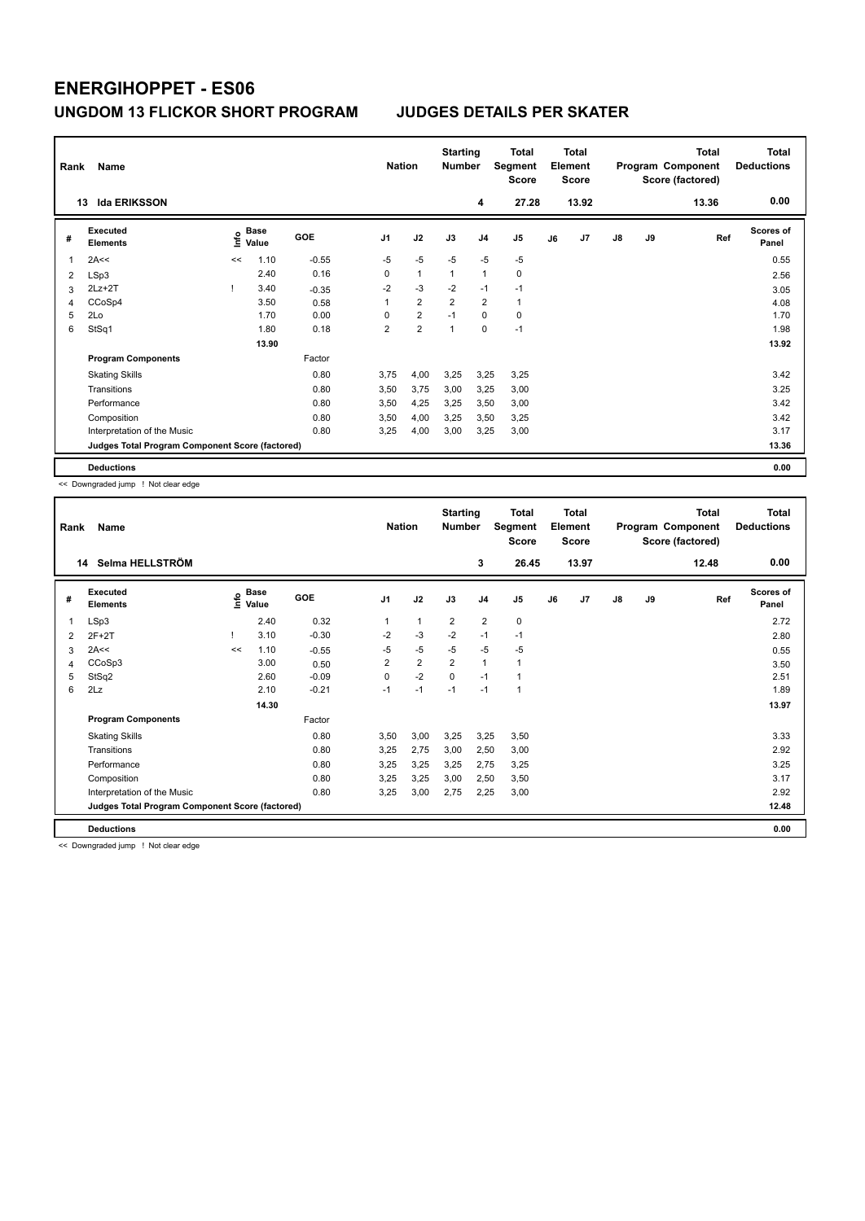| Rank | Name                                            | <b>Nation</b> |                      | <b>Starting</b><br><b>Number</b> |                | Total<br>Segment<br><b>Score</b> |                | <b>Total</b><br>Element<br><b>Score</b> |                |    | <b>Total</b><br>Program Component<br>Score (factored) | <b>Total</b><br><b>Deductions</b> |    |       |                           |
|------|-------------------------------------------------|---------------|----------------------|----------------------------------|----------------|----------------------------------|----------------|-----------------------------------------|----------------|----|-------------------------------------------------------|-----------------------------------|----|-------|---------------------------|
|      | <b>Ida ERIKSSON</b><br>13                       |               |                      |                                  |                |                                  |                | 4                                       | 27.28          |    | 13.92                                                 |                                   |    | 13.36 | 0.00                      |
| #    | Executed<br><b>Elements</b>                     | lnfo          | <b>Base</b><br>Value | GOE                              | J <sub>1</sub> | J2                               | J3             | J <sub>4</sub>                          | J <sub>5</sub> | J6 | J7                                                    | $\mathsf{J}8$                     | J9 | Ref   | <b>Scores of</b><br>Panel |
| 1    | 2A<<                                            | <<            | 1.10                 | $-0.55$                          | $-5$           | $-5$                             | $-5$           | $-5$                                    | $-5$           |    |                                                       |                                   |    |       | 0.55                      |
| 2    | LSp3                                            |               | 2.40                 | 0.16                             | 0              | $\overline{1}$                   | $\overline{1}$ | $\mathbf{1}$                            | $\mathbf 0$    |    |                                                       |                                   |    |       | 2.56                      |
| 3    | $2Lz+2T$                                        |               | 3.40                 | $-0.35$                          | $-2$           | $-3$                             | $-2$           | $-1$                                    | $-1$           |    |                                                       |                                   |    |       | 3.05                      |
| 4    | CCoSp4                                          |               | 3.50                 | 0.58                             | 1              | $\overline{2}$                   | $\overline{2}$ | $\overline{2}$                          | $\mathbf{1}$   |    |                                                       |                                   |    |       | 4.08                      |
| 5    | 2Lo                                             |               | 1.70                 | 0.00                             | 0              | $\overline{2}$                   | $-1$           | $\mathbf 0$                             | 0              |    |                                                       |                                   |    |       | 1.70                      |
| 6    | StSq1                                           |               | 1.80                 | 0.18                             | $\overline{2}$ | $\overline{2}$                   | $\overline{1}$ | 0                                       | $-1$           |    |                                                       |                                   |    |       | 1.98                      |
|      |                                                 |               | 13.90                |                                  |                |                                  |                |                                         |                |    |                                                       |                                   |    |       | 13.92                     |
|      | <b>Program Components</b>                       |               |                      | Factor                           |                |                                  |                |                                         |                |    |                                                       |                                   |    |       |                           |
|      | <b>Skating Skills</b>                           |               |                      | 0.80                             | 3.75           | 4,00                             | 3,25           | 3,25                                    | 3,25           |    |                                                       |                                   |    |       | 3.42                      |
|      | Transitions                                     |               |                      | 0.80                             | 3,50           | 3,75                             | 3,00           | 3,25                                    | 3,00           |    |                                                       |                                   |    |       | 3.25                      |
|      | Performance                                     |               |                      | 0.80                             | 3,50           | 4,25                             | 3,25           | 3,50                                    | 3,00           |    |                                                       |                                   |    |       | 3.42                      |
|      | Composition                                     |               |                      | 0.80                             | 3,50           | 4,00                             | 3,25           | 3,50                                    | 3,25           |    |                                                       |                                   |    |       | 3.42                      |
|      | Interpretation of the Music                     |               |                      | 0.80                             | 3,25           | 4,00                             | 3,00           | 3,25                                    | 3,00           |    |                                                       |                                   |    |       | 3.17                      |
|      | Judges Total Program Component Score (factored) |               |                      |                                  |                |                                  |                |                                         |                |    |                                                       |                                   |    |       | 13.36                     |
|      | <b>Deductions</b>                               |               |                      |                                  |                |                                  |                |                                         |                |    |                                                       |                                   |    |       | 0.00                      |

<< Downgraded jump ! Not clear edge

| Rank | Name<br>Selma HELLSTRÖM<br>14                   |      |                      |            | <b>Nation</b>           |                         | <b>Starting</b><br><b>Number</b> |                | <b>Total</b><br>Segment<br><b>Score</b> |    | <b>Total</b><br>Element<br><b>Score</b> |    |    | <b>Total</b><br>Program Component<br>Score (factored) | <b>Total</b><br><b>Deductions</b> |
|------|-------------------------------------------------|------|----------------------|------------|-------------------------|-------------------------|----------------------------------|----------------|-----------------------------------------|----|-----------------------------------------|----|----|-------------------------------------------------------|-----------------------------------|
|      |                                                 |      |                      |            |                         |                         |                                  | 3              | 26.45                                   |    | 13.97                                   |    |    | 12.48                                                 | 0.00                              |
| #    | Executed<br><b>Elements</b>                     | ١nf٥ | <b>Base</b><br>Value | <b>GOE</b> | J <sub>1</sub>          | J2                      | J3                               | J <sub>4</sub> | J5                                      | J6 | J7                                      | J8 | J9 | Ref                                                   | <b>Scores of</b><br>Panel         |
| 1    | LSp3                                            |      | 2.40                 | 0.32       | 1                       | 1                       | $\overline{2}$                   | $\overline{2}$ | 0                                       |    |                                         |    |    |                                                       | 2.72                              |
| 2    | $2F+2T$                                         |      | 3.10                 | $-0.30$    | $-2$                    | $-3$                    | $-2$                             | $-1$           | $-1$                                    |    |                                         |    |    |                                                       | 2.80                              |
| 3    | 2A<<                                            | <<   | 1.10                 | $-0.55$    | $-5$                    | $-5$                    | $-5$                             | $-5$           | $-5$                                    |    |                                         |    |    |                                                       | 0.55                              |
| 4    | CCoSp3                                          |      | 3.00                 | 0.50       | $\overline{\mathbf{c}}$ | $\overline{\mathbf{c}}$ | $\overline{2}$                   | 1              | 1                                       |    |                                         |    |    |                                                       | 3.50                              |
| 5    | StSq2                                           |      | 2.60                 | $-0.09$    | 0                       | $-2$                    | $\Omega$                         | $-1$           | 1                                       |    |                                         |    |    |                                                       | 2.51                              |
| 6    | 2Lz                                             |      | 2.10                 | $-0.21$    | $-1$                    | $-1$                    | $-1$                             | $-1$           | 1                                       |    |                                         |    |    |                                                       | 1.89                              |
|      |                                                 |      | 14.30                |            |                         |                         |                                  |                |                                         |    |                                         |    |    |                                                       | 13.97                             |
|      | <b>Program Components</b>                       |      |                      | Factor     |                         |                         |                                  |                |                                         |    |                                         |    |    |                                                       |                                   |
|      | <b>Skating Skills</b>                           |      |                      | 0.80       | 3,50                    | 3,00                    | 3,25                             | 3,25           | 3,50                                    |    |                                         |    |    |                                                       | 3.33                              |
|      | Transitions                                     |      |                      | 0.80       | 3,25                    | 2,75                    | 3,00                             | 2,50           | 3,00                                    |    |                                         |    |    |                                                       | 2.92                              |
|      | Performance                                     |      |                      | 0.80       | 3,25                    | 3,25                    | 3,25                             | 2,75           | 3,25                                    |    |                                         |    |    |                                                       | 3.25                              |
|      | Composition                                     |      |                      | 0.80       | 3,25                    | 3,25                    | 3,00                             | 2,50           | 3,50                                    |    |                                         |    |    |                                                       | 3.17                              |
|      | Interpretation of the Music                     |      |                      | 0.80       | 3,25                    | 3,00                    | 2,75                             | 2,25           | 3,00                                    |    |                                         |    |    |                                                       | 2.92                              |
|      | Judges Total Program Component Score (factored) |      |                      |            |                         |                         |                                  |                |                                         |    |                                         |    |    |                                                       | 12.48                             |
|      | <b>Deductions</b>                               |      |                      |            |                         |                         |                                  |                |                                         |    |                                         |    |    |                                                       | 0.00                              |

<< Downgraded jump ! Not clear edge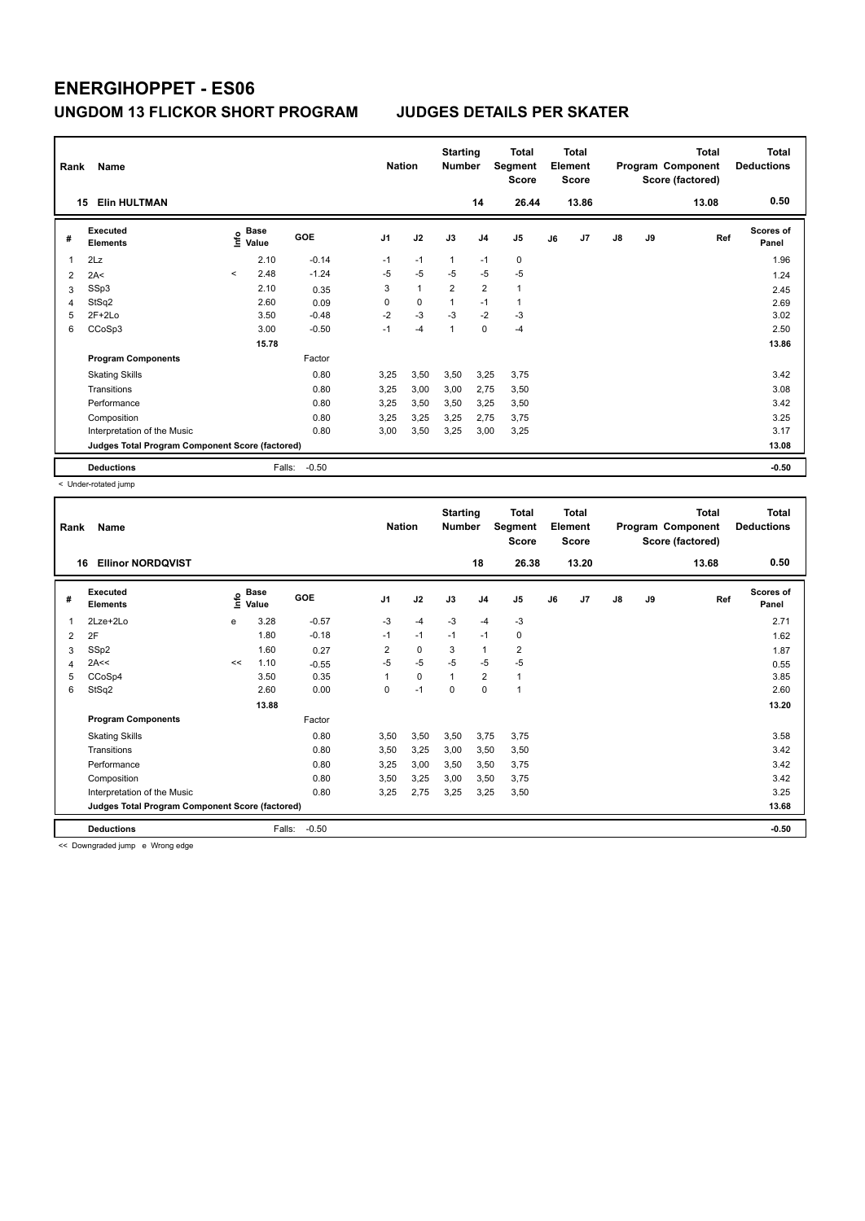| Rank           | Name<br><b>Elin HULTMAN</b><br>15               |         |                      |            | <b>Nation</b>  |              | <b>Starting</b><br><b>Number</b> | 14             | Total<br>Segment<br><b>Score</b><br>26.44 |    | <b>Total</b><br>Element<br><b>Score</b><br>13.86 |    |    | <b>Total</b><br>Program Component<br>Score (factored)<br>13.08 | <b>Total</b><br><b>Deductions</b><br>0.50 |
|----------------|-------------------------------------------------|---------|----------------------|------------|----------------|--------------|----------------------------------|----------------|-------------------------------------------|----|--------------------------------------------------|----|----|----------------------------------------------------------------|-------------------------------------------|
| #              | Executed<br><b>Elements</b>                     | ١nf٥    | <b>Base</b><br>Value | <b>GOE</b> | J <sub>1</sub> | J2           | J3                               | J <sub>4</sub> | J5                                        | J6 | J7                                               | J8 | J9 | Ref                                                            | Scores of<br>Panel                        |
| 1              | 2Lz                                             |         | 2.10                 | $-0.14$    | $-1$           | $-1$         | $\mathbf{1}$                     | $-1$           | $\mathbf 0$                               |    |                                                  |    |    |                                                                | 1.96                                      |
| $\overline{2}$ | 2A<                                             | $\prec$ | 2.48                 | $-1.24$    | $-5$           | $-5$         | $-5$                             | $-5$           | $-5$                                      |    |                                                  |    |    |                                                                | 1.24                                      |
| 3              | SSp3                                            |         | 2.10                 | 0.35       | 3              | $\mathbf{1}$ | $\overline{2}$                   | $\overline{2}$ | $\mathbf{1}$                              |    |                                                  |    |    |                                                                | 2.45                                      |
| 4              | StSq2                                           |         | 2.60                 | 0.09       | 0              | $\mathbf 0$  |                                  | $-1$           | $\overline{1}$                            |    |                                                  |    |    |                                                                | 2.69                                      |
| 5              | $2F+2Lo$                                        |         | 3.50                 | $-0.48$    | $-2$           | $-3$         | $-3$                             | $-2$           | $-3$                                      |    |                                                  |    |    |                                                                | 3.02                                      |
| 6              | CCoSp3                                          |         | 3.00                 | $-0.50$    | $-1$           | $-4$         | 1                                | 0              | $-4$                                      |    |                                                  |    |    |                                                                | 2.50                                      |
|                |                                                 |         | 15.78                |            |                |              |                                  |                |                                           |    |                                                  |    |    |                                                                | 13.86                                     |
|                | <b>Program Components</b>                       |         |                      | Factor     |                |              |                                  |                |                                           |    |                                                  |    |    |                                                                |                                           |
|                | <b>Skating Skills</b>                           |         |                      | 0.80       | 3,25           | 3,50         | 3,50                             | 3,25           | 3,75                                      |    |                                                  |    |    |                                                                | 3.42                                      |
|                | Transitions                                     |         |                      | 0.80       | 3,25           | 3,00         | 3,00                             | 2,75           | 3,50                                      |    |                                                  |    |    |                                                                | 3.08                                      |
|                | Performance                                     |         |                      | 0.80       | 3,25           | 3,50         | 3,50                             | 3,25           | 3,50                                      |    |                                                  |    |    |                                                                | 3.42                                      |
|                | Composition                                     |         |                      | 0.80       | 3.25           | 3,25         | 3.25                             | 2,75           | 3,75                                      |    |                                                  |    |    |                                                                | 3.25                                      |
|                | Interpretation of the Music                     |         |                      | 0.80       | 3,00           | 3,50         | 3,25                             | 3,00           | 3,25                                      |    |                                                  |    |    |                                                                | 3.17                                      |
|                | Judges Total Program Component Score (factored) |         |                      |            |                |              |                                  |                |                                           |    |                                                  |    |    |                                                                | 13.08                                     |
|                | <b>Deductions</b>                               |         | Falls:               | $-0.50$    |                |              |                                  |                |                                           |    |                                                  |    |    |                                                                | $-0.50$                                   |

< Under-rotated jump

| 0.50<br>13.20<br><b>Ellinor NORDOVIST</b><br>18<br>26.38<br>13.68<br>16<br>Executed<br><b>Base</b><br>Scores of<br>١nf٥<br>GOE<br>J2<br>J3<br>J <sub>1</sub><br>J <sub>4</sub><br>J5<br>J7<br>$\mathsf{J}8$<br>J9<br>Ref<br>J6<br>#<br>Value<br><b>Elements</b><br>Panel<br>3.28<br>$-0.57$<br>$-3$<br>$-3$<br>2Lze+2Lo<br>$-3$<br>$-4$<br>$-4$<br>2.71<br>e<br>1<br>1.80<br>$-0.18$<br>$-1$<br>$-1$<br>$-1$<br>0<br>$-1$<br>2F<br>1.62<br>$\overline{2}$<br>$\overline{\mathbf{c}}$<br>SSp2<br>$\overline{2}$<br>0<br>3<br>$\mathbf{1}$<br>1.60<br>0.27<br>1.87<br>3<br>$-5$<br>$-5$<br>2A<<<br>$-5$<br>$-5$<br>$-5$<br>1.10<br><<<br>$-0.55$<br>0.55<br>4<br>CCoSp4<br>$\overline{\mathbf{c}}$<br>3.50<br>0.35<br>0<br>3.85<br>5<br>$\mathbf 1$<br>1<br>1<br>StSq2<br>0.00<br>$-1$<br>2.60<br>0<br>2.60<br>6<br>0<br>$\Omega$<br>1<br>13.88<br>13.20<br><b>Program Components</b><br>Factor<br>0.80<br>3,75<br>3.58<br><b>Skating Skills</b><br>3,50<br>3,50<br>3,50<br>3,75<br>Transitions<br>0.80<br>3.42<br>3,50<br>3,25<br>3,00<br>3,50<br>3,50<br>0.80<br>3.42<br>3,25<br>3,00<br>3,75<br>Performance<br>3,50<br>3,50<br>0.80<br>3,25<br>3,75<br>3.42<br>Composition<br>3,50<br>3,00<br>3,50<br>3.25<br>0.80<br>2,75<br>Interpretation of the Music<br>3,25<br>3,25<br>3,25<br>3,50<br>Judges Total Program Component Score (factored)<br>13.68<br>$-0.50$<br>Falls:<br><b>Deductions</b><br>$-0.50$ | Rank | <b>Name</b> | <b>Nation</b> | <b>Starting</b><br><b>Number</b> | <b>Total</b><br>Segment<br><b>Score</b> | <b>Total</b><br>Element<br><b>Score</b> |  | <b>Total</b><br>Program Component<br>Score (factored) | <b>Total</b><br><b>Deductions</b> |  |  |
|-------------------------------------------------------------------------------------------------------------------------------------------------------------------------------------------------------------------------------------------------------------------------------------------------------------------------------------------------------------------------------------------------------------------------------------------------------------------------------------------------------------------------------------------------------------------------------------------------------------------------------------------------------------------------------------------------------------------------------------------------------------------------------------------------------------------------------------------------------------------------------------------------------------------------------------------------------------------------------------------------------------------------------------------------------------------------------------------------------------------------------------------------------------------------------------------------------------------------------------------------------------------------------------------------------------------------------------------------------------------------------------------------------------|------|-------------|---------------|----------------------------------|-----------------------------------------|-----------------------------------------|--|-------------------------------------------------------|-----------------------------------|--|--|
|                                                                                                                                                                                                                                                                                                                                                                                                                                                                                                                                                                                                                                                                                                                                                                                                                                                                                                                                                                                                                                                                                                                                                                                                                                                                                                                                                                                                             |      |             |               |                                  |                                         |                                         |  |                                                       |                                   |  |  |
|                                                                                                                                                                                                                                                                                                                                                                                                                                                                                                                                                                                                                                                                                                                                                                                                                                                                                                                                                                                                                                                                                                                                                                                                                                                                                                                                                                                                             |      |             |               |                                  |                                         |                                         |  |                                                       |                                   |  |  |
|                                                                                                                                                                                                                                                                                                                                                                                                                                                                                                                                                                                                                                                                                                                                                                                                                                                                                                                                                                                                                                                                                                                                                                                                                                                                                                                                                                                                             |      |             |               |                                  |                                         |                                         |  |                                                       |                                   |  |  |
|                                                                                                                                                                                                                                                                                                                                                                                                                                                                                                                                                                                                                                                                                                                                                                                                                                                                                                                                                                                                                                                                                                                                                                                                                                                                                                                                                                                                             |      |             |               |                                  |                                         |                                         |  |                                                       |                                   |  |  |
|                                                                                                                                                                                                                                                                                                                                                                                                                                                                                                                                                                                                                                                                                                                                                                                                                                                                                                                                                                                                                                                                                                                                                                                                                                                                                                                                                                                                             |      |             |               |                                  |                                         |                                         |  |                                                       |                                   |  |  |
|                                                                                                                                                                                                                                                                                                                                                                                                                                                                                                                                                                                                                                                                                                                                                                                                                                                                                                                                                                                                                                                                                                                                                                                                                                                                                                                                                                                                             |      |             |               |                                  |                                         |                                         |  |                                                       |                                   |  |  |
|                                                                                                                                                                                                                                                                                                                                                                                                                                                                                                                                                                                                                                                                                                                                                                                                                                                                                                                                                                                                                                                                                                                                                                                                                                                                                                                                                                                                             |      |             |               |                                  |                                         |                                         |  |                                                       |                                   |  |  |
|                                                                                                                                                                                                                                                                                                                                                                                                                                                                                                                                                                                                                                                                                                                                                                                                                                                                                                                                                                                                                                                                                                                                                                                                                                                                                                                                                                                                             |      |             |               |                                  |                                         |                                         |  |                                                       |                                   |  |  |
|                                                                                                                                                                                                                                                                                                                                                                                                                                                                                                                                                                                                                                                                                                                                                                                                                                                                                                                                                                                                                                                                                                                                                                                                                                                                                                                                                                                                             |      |             |               |                                  |                                         |                                         |  |                                                       |                                   |  |  |
|                                                                                                                                                                                                                                                                                                                                                                                                                                                                                                                                                                                                                                                                                                                                                                                                                                                                                                                                                                                                                                                                                                                                                                                                                                                                                                                                                                                                             |      |             |               |                                  |                                         |                                         |  |                                                       |                                   |  |  |
|                                                                                                                                                                                                                                                                                                                                                                                                                                                                                                                                                                                                                                                                                                                                                                                                                                                                                                                                                                                                                                                                                                                                                                                                                                                                                                                                                                                                             |      |             |               |                                  |                                         |                                         |  |                                                       |                                   |  |  |
|                                                                                                                                                                                                                                                                                                                                                                                                                                                                                                                                                                                                                                                                                                                                                                                                                                                                                                                                                                                                                                                                                                                                                                                                                                                                                                                                                                                                             |      |             |               |                                  |                                         |                                         |  |                                                       |                                   |  |  |
|                                                                                                                                                                                                                                                                                                                                                                                                                                                                                                                                                                                                                                                                                                                                                                                                                                                                                                                                                                                                                                                                                                                                                                                                                                                                                                                                                                                                             |      |             |               |                                  |                                         |                                         |  |                                                       |                                   |  |  |
|                                                                                                                                                                                                                                                                                                                                                                                                                                                                                                                                                                                                                                                                                                                                                                                                                                                                                                                                                                                                                                                                                                                                                                                                                                                                                                                                                                                                             |      |             |               |                                  |                                         |                                         |  |                                                       |                                   |  |  |
|                                                                                                                                                                                                                                                                                                                                                                                                                                                                                                                                                                                                                                                                                                                                                                                                                                                                                                                                                                                                                                                                                                                                                                                                                                                                                                                                                                                                             |      |             |               |                                  |                                         |                                         |  |                                                       |                                   |  |  |
|                                                                                                                                                                                                                                                                                                                                                                                                                                                                                                                                                                                                                                                                                                                                                                                                                                                                                                                                                                                                                                                                                                                                                                                                                                                                                                                                                                                                             |      |             |               |                                  |                                         |                                         |  |                                                       |                                   |  |  |
|                                                                                                                                                                                                                                                                                                                                                                                                                                                                                                                                                                                                                                                                                                                                                                                                                                                                                                                                                                                                                                                                                                                                                                                                                                                                                                                                                                                                             |      |             |               |                                  |                                         |                                         |  |                                                       |                                   |  |  |

<< Downgraded jump e Wrong edge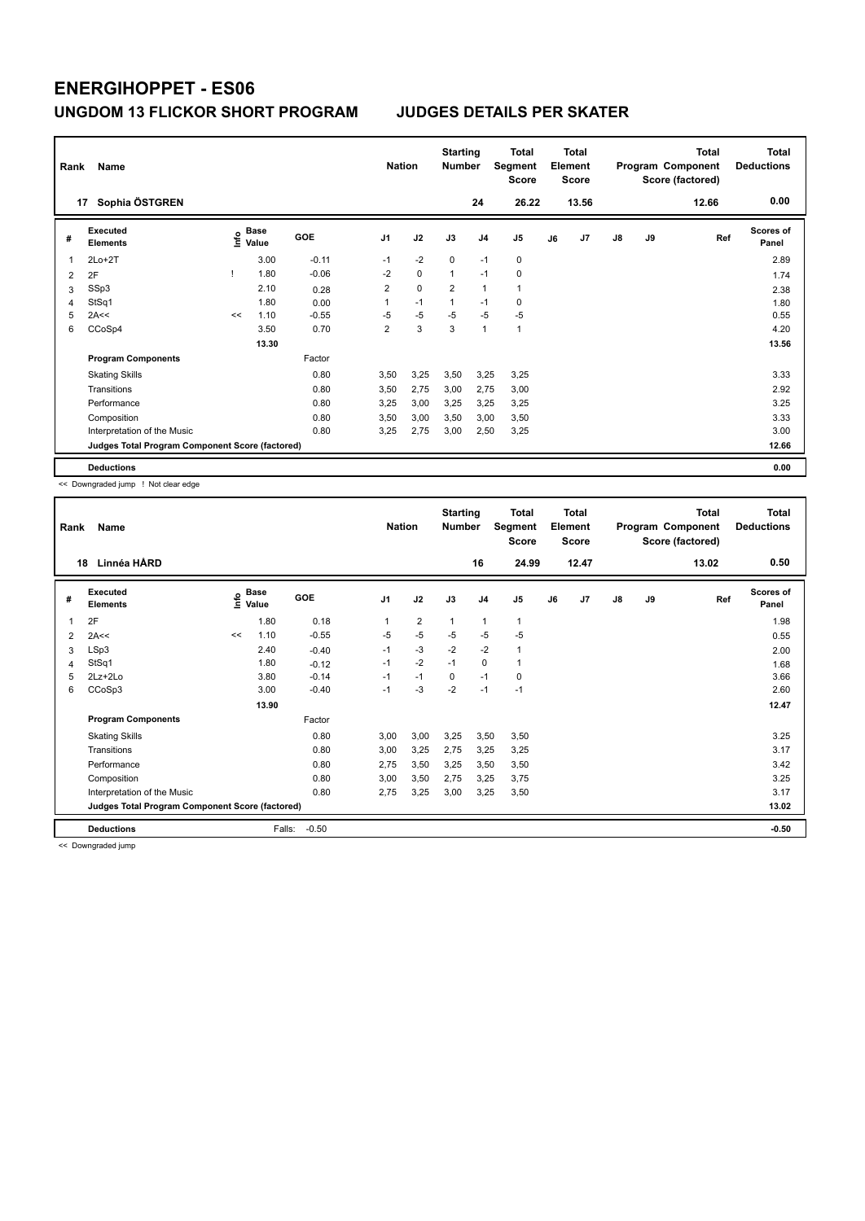| Rank | Name                                            |      |                      | <b>Nation</b> |                | <b>Starting</b><br><b>Number</b> |                | <b>Total</b><br>Segment<br><b>Score</b> |                | <b>Total</b><br>Element<br><b>Score</b> |       |               | <b>Total</b><br>Program Component<br>Score (factored) | Total<br><b>Deductions</b> |                           |
|------|-------------------------------------------------|------|----------------------|---------------|----------------|----------------------------------|----------------|-----------------------------------------|----------------|-----------------------------------------|-------|---------------|-------------------------------------------------------|----------------------------|---------------------------|
|      | Sophia ÖSTGREN<br>17                            |      |                      |               |                |                                  |                | 24                                      | 26.22          |                                         | 13.56 |               |                                                       | 12.66                      | 0.00                      |
| #    | <b>Executed</b><br><b>Elements</b>              | lnfo | <b>Base</b><br>Value | <b>GOE</b>    | J <sub>1</sub> | J2                               | J3             | J4                                      | J <sub>5</sub> | J6                                      | J7    | $\mathsf{J}8$ | J9                                                    | Ref                        | <b>Scores of</b><br>Panel |
|      | $2Lo+2T$                                        |      | 3.00                 | $-0.11$       | $-1$           | $-2$                             | $\Omega$       | $-1$                                    | $\mathbf 0$    |                                         |       |               |                                                       |                            | 2.89                      |
| 2    | 2F                                              |      | 1.80                 | $-0.06$       | $-2$           | $\mathbf 0$                      | $\mathbf{1}$   | $-1$                                    | $\mathbf 0$    |                                         |       |               |                                                       |                            | 1.74                      |
| 3    | SSp3                                            |      | 2.10                 | 0.28          | $\overline{2}$ | $\mathbf 0$                      | $\overline{2}$ | 1                                       | 1              |                                         |       |               |                                                       |                            | 2.38                      |
| 4    | StSq1                                           |      | 1.80                 | 0.00          | 1              | $-1$                             | $\mathbf{1}$   | $-1$                                    | 0              |                                         |       |               |                                                       |                            | 1.80                      |
| 5    | 2A<<                                            | <<   | 1.10                 | $-0.55$       | $-5$           | $-5$                             | $-5$           | $-5$                                    | $-5$           |                                         |       |               |                                                       |                            | 0.55                      |
| 6    | CCoSp4                                          |      | 3.50                 | 0.70          | $\overline{2}$ | 3                                | 3              | 1                                       | $\mathbf{1}$   |                                         |       |               |                                                       |                            | 4.20                      |
|      |                                                 |      | 13.30                |               |                |                                  |                |                                         |                |                                         |       |               |                                                       |                            | 13.56                     |
|      | <b>Program Components</b>                       |      |                      | Factor        |                |                                  |                |                                         |                |                                         |       |               |                                                       |                            |                           |
|      | <b>Skating Skills</b>                           |      |                      | 0.80          | 3,50           | 3,25                             | 3,50           | 3,25                                    | 3,25           |                                         |       |               |                                                       |                            | 3.33                      |
|      | Transitions                                     |      |                      | 0.80          | 3,50           | 2,75                             | 3,00           | 2,75                                    | 3,00           |                                         |       |               |                                                       |                            | 2.92                      |
|      | Performance                                     |      |                      | 0.80          | 3,25           | 3,00                             | 3,25           | 3,25                                    | 3,25           |                                         |       |               |                                                       |                            | 3.25                      |
|      | Composition                                     |      |                      | 0.80          | 3,50           | 3,00                             | 3,50           | 3,00                                    | 3,50           |                                         |       |               |                                                       |                            | 3.33                      |
|      | Interpretation of the Music                     |      |                      | 0.80          | 3,25           | 2,75                             | 3,00           | 2,50                                    | 3,25           |                                         |       |               |                                                       |                            | 3.00                      |
|      | Judges Total Program Component Score (factored) |      |                      |               |                |                                  |                |                                         |                |                                         |       |               |                                                       |                            | 12.66                     |
|      | <b>Deductions</b>                               |      |                      |               |                |                                  |                |                                         |                |                                         |       |               |                                                       |                            | 0.00                      |

<< Downgraded jump ! Not clear edge

| Rank | Name                                            |      |                      | <b>Nation</b> |                | <b>Starting</b><br><b>Number</b> |      | Total<br>Segment<br>Score |                | <b>Total</b><br>Element<br><b>Score</b> |       |    | <b>Total</b><br>Program Component<br>Score (factored) | <b>Total</b><br><b>Deductions</b> |                           |
|------|-------------------------------------------------|------|----------------------|---------------|----------------|----------------------------------|------|---------------------------|----------------|-----------------------------------------|-------|----|-------------------------------------------------------|-----------------------------------|---------------------------|
| 18   | Linnéa HÅRD                                     |      |                      |               |                |                                  |      | 16                        | 24.99          |                                         | 12.47 |    |                                                       | 13.02                             | 0.50                      |
| #    | Executed<br><b>Elements</b>                     | lnfo | <b>Base</b><br>Value | GOE           | J <sub>1</sub> | J2                               | J3   | J <sub>4</sub>            | J <sub>5</sub> | J6                                      | J7    | J8 | J9                                                    | Ref                               | <b>Scores of</b><br>Panel |
| 1    | 2F                                              |      | 1.80                 | 0.18          | 1              | $\overline{\mathbf{c}}$          | 1    | 1                         | 1              |                                         |       |    |                                                       |                                   | 1.98                      |
| 2    | 2A<<                                            | <<   | 1.10                 | $-0.55$       | $-5$           | $-5$                             | $-5$ | $-5$                      | $-5$           |                                         |       |    |                                                       |                                   | 0.55                      |
| 3    | LSp3                                            |      | 2.40                 | $-0.40$       | $-1$           | $-3$                             | $-2$ | $-2$                      | 1              |                                         |       |    |                                                       |                                   | 2.00                      |
| 4    | StSq1                                           |      | 1.80                 | $-0.12$       | $-1$           | $-2$                             | $-1$ | $\mathbf 0$               | 1              |                                         |       |    |                                                       |                                   | 1.68                      |
| 5    | $2Lz+2Lo$                                       |      | 3.80                 | $-0.14$       | $-1$           | $-1$                             | 0    | $-1$                      | 0              |                                         |       |    |                                                       |                                   | 3.66                      |
| 6    | CCoSp3                                          |      | 3.00                 | $-0.40$       | $-1$           | $-3$                             | $-2$ | $-1$                      | $-1$           |                                         |       |    |                                                       |                                   | 2.60                      |
|      |                                                 |      | 13.90                |               |                |                                  |      |                           |                |                                         |       |    |                                                       |                                   | 12.47                     |
|      | <b>Program Components</b>                       |      |                      | Factor        |                |                                  |      |                           |                |                                         |       |    |                                                       |                                   |                           |
|      | <b>Skating Skills</b>                           |      |                      | 0.80          | 3,00           | 3,00                             | 3,25 | 3,50                      | 3,50           |                                         |       |    |                                                       |                                   | 3.25                      |
|      | Transitions                                     |      |                      | 0.80          | 3,00           | 3,25                             | 2,75 | 3,25                      | 3,25           |                                         |       |    |                                                       |                                   | 3.17                      |
|      | Performance                                     |      |                      | 0.80          | 2,75           | 3,50                             | 3,25 | 3,50                      | 3,50           |                                         |       |    |                                                       |                                   | 3.42                      |
|      | Composition                                     |      |                      | 0.80          | 3,00           | 3,50                             | 2,75 | 3,25                      | 3,75           |                                         |       |    |                                                       |                                   | 3.25                      |
|      | Interpretation of the Music                     |      |                      | 0.80          | 2,75           | 3,25                             | 3,00 | 3,25                      | 3,50           |                                         |       |    |                                                       |                                   | 3.17                      |
|      | Judges Total Program Component Score (factored) |      |                      |               |                |                                  |      |                           |                |                                         |       |    |                                                       |                                   | 13.02                     |
|      | <b>Deductions</b>                               |      | Falls:               | $-0.50$       |                |                                  |      |                           |                |                                         |       |    |                                                       |                                   | $-0.50$                   |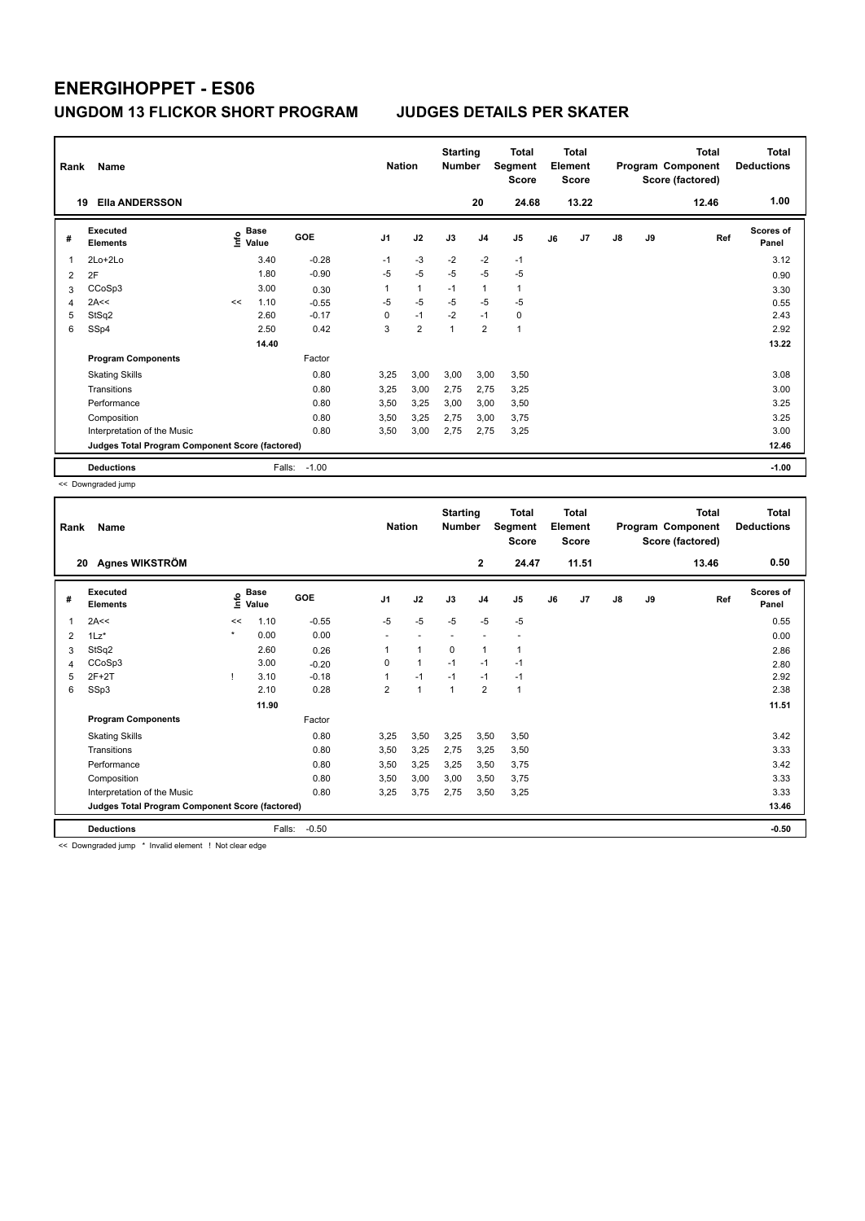| Rank           | Name<br><b>Ella ANDERSSON</b><br>19             |    |                                      |         | <b>Nation</b>  |                | <b>Starting</b><br><b>Number</b> | 20             | Total<br>Segment<br><b>Score</b><br>24.68 |    | <b>Total</b><br>Element<br><b>Score</b><br>13.22 |               |    | <b>Total</b><br>Program Component<br>Score (factored)<br>12.46 | <b>Total</b><br><b>Deductions</b><br>1.00 |
|----------------|-------------------------------------------------|----|--------------------------------------|---------|----------------|----------------|----------------------------------|----------------|-------------------------------------------|----|--------------------------------------------------|---------------|----|----------------------------------------------------------------|-------------------------------------------|
|                |                                                 |    |                                      |         |                |                |                                  |                |                                           |    |                                                  |               |    |                                                                |                                           |
| #              | <b>Executed</b><br><b>Elements</b>              |    | Base<br>e <sup>Base</sup><br>⊆ Value | GOE     | J <sub>1</sub> | J2             | J3                               | J <sub>4</sub> | J5                                        | J6 | J7                                               | $\mathsf{J}8$ | J9 | Ref                                                            | <b>Scores of</b><br>Panel                 |
| 1              | 2Lo+2Lo                                         |    | 3.40                                 | $-0.28$ | $-1$           | $-3$           | $-2$                             | $-2$           | $-1$                                      |    |                                                  |               |    |                                                                | 3.12                                      |
| $\overline{2}$ | 2F                                              |    | 1.80                                 | $-0.90$ | $-5$           | $-5$           | $-5$                             | $-5$           | $-5$                                      |    |                                                  |               |    |                                                                | 0.90                                      |
| 3              | CCoSp3                                          |    | 3.00                                 | 0.30    | 1              | $\mathbf{1}$   | $-1$                             | $\overline{1}$ | 1                                         |    |                                                  |               |    |                                                                | 3.30                                      |
| 4              | 2A<<                                            | << | 1.10                                 | $-0.55$ | $-5$           | $-5$           | $-5$                             | $-5$           | $-5$                                      |    |                                                  |               |    |                                                                | 0.55                                      |
| 5              | StSq2                                           |    | 2.60                                 | $-0.17$ | 0              | $-1$           | $-2$                             | $-1$           | 0                                         |    |                                                  |               |    |                                                                | 2.43                                      |
| 6              | SSp4                                            |    | 2.50                                 | 0.42    | 3              | $\overline{2}$ | $\overline{1}$                   | $\overline{2}$ | $\overline{1}$                            |    |                                                  |               |    |                                                                | 2.92                                      |
|                |                                                 |    | 14.40                                |         |                |                |                                  |                |                                           |    |                                                  |               |    |                                                                | 13.22                                     |
|                | <b>Program Components</b>                       |    |                                      | Factor  |                |                |                                  |                |                                           |    |                                                  |               |    |                                                                |                                           |
|                | <b>Skating Skills</b>                           |    |                                      | 0.80    | 3,25           | 3,00           | 3,00                             | 3,00           | 3,50                                      |    |                                                  |               |    |                                                                | 3.08                                      |
|                | Transitions                                     |    |                                      | 0.80    | 3.25           | 3,00           | 2.75                             | 2,75           | 3,25                                      |    |                                                  |               |    |                                                                | 3.00                                      |
|                | Performance                                     |    |                                      | 0.80    | 3,50           | 3,25           | 3,00                             | 3,00           | 3,50                                      |    |                                                  |               |    |                                                                | 3.25                                      |
|                | Composition                                     |    |                                      | 0.80    | 3,50           | 3,25           | 2.75                             | 3,00           | 3,75                                      |    |                                                  |               |    |                                                                | 3.25                                      |
|                | Interpretation of the Music                     |    |                                      | 0.80    | 3,50           | 3,00           | 2,75                             | 2,75           | 3,25                                      |    |                                                  |               |    |                                                                | 3.00                                      |
|                | Judges Total Program Component Score (factored) |    |                                      |         |                |                |                                  |                |                                           |    |                                                  |               |    |                                                                | 12.46                                     |
|                | <b>Deductions</b>                               |    | Falls:                               | $-1.00$ |                |                |                                  |                |                                           |    |                                                  |               |    |                                                                | $-1.00$                                   |

<< Downgraded jump

| Rank | Name                                            |         | <b>Nation</b>        |            | <b>Starting</b><br><b>Number</b> |              | <b>Total</b><br>Segment<br><b>Score</b> |                | <b>Total</b><br>Element<br><b>Score</b> |    |       | <b>Total</b><br>Program Component<br>Score (factored) | <b>Total</b><br><b>Deductions</b> |       |                           |
|------|-------------------------------------------------|---------|----------------------|------------|----------------------------------|--------------|-----------------------------------------|----------------|-----------------------------------------|----|-------|-------------------------------------------------------|-----------------------------------|-------|---------------------------|
| 20   | Agnes WIKSTRÖM                                  |         |                      |            |                                  |              |                                         | $\mathbf{2}$   | 24.47                                   |    | 11.51 |                                                       |                                   | 13.46 | 0.50                      |
| #    | Executed<br><b>Elements</b>                     | ١nf٥    | <b>Base</b><br>Value | <b>GOE</b> | J <sub>1</sub>                   | J2           | J3                                      | J <sub>4</sub> | J <sub>5</sub>                          | J6 | J7    | $\mathsf{J}8$                                         | J9                                | Ref   | <b>Scores of</b><br>Panel |
| 1    | 2A<<                                            | <<      | 1.10                 | $-0.55$    | $-5$                             | $-5$         | $-5$                                    | $-5$           | $-5$                                    |    |       |                                                       |                                   |       | 0.55                      |
| 2    | $1Lz$ *                                         | $\star$ | 0.00                 | 0.00       |                                  |              |                                         |                |                                         |    |       |                                                       |                                   |       | 0.00                      |
| 3    | StSq2                                           |         | 2.60                 | 0.26       |                                  | 1            | 0                                       | 1              | 1                                       |    |       |                                                       |                                   |       | 2.86                      |
| 4    | CCoSp3                                          |         | 3.00                 | $-0.20$    | 0                                | $\mathbf{1}$ | $-1$                                    | $-1$           | $-1$                                    |    |       |                                                       |                                   |       | 2.80                      |
| 5    | $2F+2T$                                         |         | 3.10                 | $-0.18$    |                                  | $-1$         | $-1$                                    | $-1$           | $-1$                                    |    |       |                                                       |                                   |       | 2.92                      |
| 6    | SSp3                                            |         | 2.10                 | 0.28       | $\overline{2}$                   | $\mathbf{1}$ | 1                                       | $\overline{2}$ | $\mathbf{1}$                            |    |       |                                                       |                                   |       | 2.38                      |
|      |                                                 |         | 11.90                |            |                                  |              |                                         |                |                                         |    |       |                                                       |                                   |       | 11.51                     |
|      | <b>Program Components</b>                       |         |                      | Factor     |                                  |              |                                         |                |                                         |    |       |                                                       |                                   |       |                           |
|      | <b>Skating Skills</b>                           |         |                      | 0.80       | 3,25                             | 3,50         | 3,25                                    | 3,50           | 3,50                                    |    |       |                                                       |                                   |       | 3.42                      |
|      | Transitions                                     |         |                      | 0.80       | 3,50                             | 3,25         | 2,75                                    | 3,25           | 3,50                                    |    |       |                                                       |                                   |       | 3.33                      |
|      | Performance                                     |         |                      | 0.80       | 3,50                             | 3,25         | 3,25                                    | 3,50           | 3,75                                    |    |       |                                                       |                                   |       | 3.42                      |
|      | Composition                                     |         |                      | 0.80       | 3,50                             | 3,00         | 3,00                                    | 3,50           | 3,75                                    |    |       |                                                       |                                   |       | 3.33                      |
|      | Interpretation of the Music                     |         |                      | 0.80       | 3,25                             | 3,75         | 2,75                                    | 3,50           | 3,25                                    |    |       |                                                       |                                   |       | 3.33                      |
|      | Judges Total Program Component Score (factored) |         |                      |            |                                  |              |                                         |                |                                         |    |       |                                                       |                                   |       | 13.46                     |
|      | <b>Deductions</b>                               |         | Falls:               | $-0.50$    |                                  |              |                                         |                |                                         |    |       |                                                       |                                   |       | $-0.50$                   |

<< Downgraded jump \* Invalid element ! Not clear edge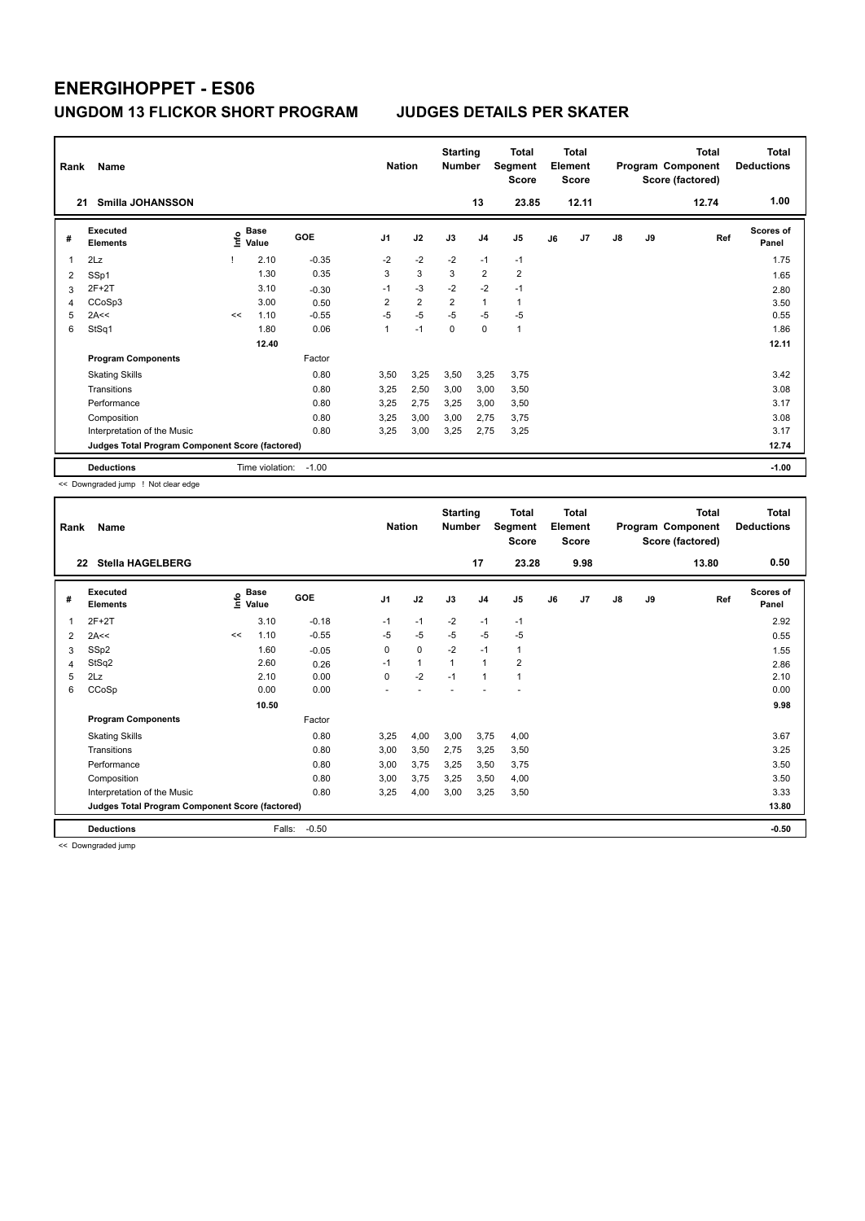| Rank<br>21 | Name<br>Smilla JOHANSSON                        |      |                      |         | <b>Nation</b>  |                | <b>Starting</b><br><b>Number</b> | 13             | <b>Total</b><br>Segment<br><b>Score</b><br>23.85 |    | <b>Total</b><br>Element<br><b>Score</b><br>12.11 |               |    | <b>Total</b><br>Program Component<br>Score (factored)<br>12.74 | Total<br><b>Deductions</b><br>1.00 |
|------------|-------------------------------------------------|------|----------------------|---------|----------------|----------------|----------------------------------|----------------|--------------------------------------------------|----|--------------------------------------------------|---------------|----|----------------------------------------------------------------|------------------------------------|
| #          | Executed<br><b>Elements</b>                     | ١nf٥ | <b>Base</b><br>Value | GOE     | J <sub>1</sub> | J2             | J3                               | J <sub>4</sub> | J <sub>5</sub>                                   | J6 | J <sub>7</sub>                                   | $\mathsf{J}8$ | J9 | Ref                                                            | Scores of<br>Panel                 |
| 1          | 2Lz                                             |      | 2.10                 | $-0.35$ | $-2$           | $-2$           | $-2$                             | $-1$           | $-1$                                             |    |                                                  |               |    |                                                                | 1.75                               |
| 2          | SSp1                                            |      | 1.30                 | 0.35    | 3              | 3              | 3                                | $\overline{2}$ | $\overline{2}$                                   |    |                                                  |               |    |                                                                | 1.65                               |
| 3          | 2F+2T                                           |      | 3.10                 | $-0.30$ | $-1$           | $-3$           | $-2$                             | $-2$           | $-1$                                             |    |                                                  |               |    |                                                                | 2.80                               |
| 4          | CCoSp3                                          |      | 3.00                 | 0.50    | $\overline{2}$ | $\overline{2}$ | $\overline{2}$                   | $\overline{1}$ | 1                                                |    |                                                  |               |    |                                                                | 3.50                               |
| 5          | 2A<<                                            | <<   | 1.10                 | $-0.55$ | $-5$           | $-5$           | $-5$                             | $-5$           | $-5$                                             |    |                                                  |               |    |                                                                | 0.55                               |
| 6          | StSq1                                           |      | 1.80                 | 0.06    | 1              | $-1$           | $\Omega$                         | 0              | 1                                                |    |                                                  |               |    |                                                                | 1.86                               |
|            |                                                 |      | 12.40                |         |                |                |                                  |                |                                                  |    |                                                  |               |    |                                                                | 12.11                              |
|            | <b>Program Components</b>                       |      |                      | Factor  |                |                |                                  |                |                                                  |    |                                                  |               |    |                                                                |                                    |
|            | <b>Skating Skills</b>                           |      |                      | 0.80    | 3,50           | 3,25           | 3,50                             | 3,25           | 3.75                                             |    |                                                  |               |    |                                                                | 3.42                               |
|            | Transitions                                     |      |                      | 0.80    | 3,25           | 2,50           | 3,00                             | 3,00           | 3,50                                             |    |                                                  |               |    |                                                                | 3.08                               |
|            | Performance                                     |      |                      | 0.80    | 3,25           | 2,75           | 3,25                             | 3,00           | 3,50                                             |    |                                                  |               |    |                                                                | 3.17                               |
|            | Composition                                     |      |                      | 0.80    | 3,25           | 3,00           | 3,00                             | 2,75           | 3,75                                             |    |                                                  |               |    |                                                                | 3.08                               |
|            | Interpretation of the Music                     |      |                      | 0.80    | 3,25           | 3,00           | 3,25                             | 2,75           | 3,25                                             |    |                                                  |               |    |                                                                | 3.17                               |
|            | Judges Total Program Component Score (factored) |      |                      |         |                |                |                                  |                |                                                  |    |                                                  |               |    |                                                                | 12.74                              |
|            | <b>Deductions</b>                               |      | Time violation:      | $-1.00$ |                |                |                                  |                |                                                  |    |                                                  |               |    |                                                                | $-1.00$                            |

<< Downgraded jump ! Not clear edge

| Rank | Name                                            |      |                      | <b>Nation</b> | <b>Starting</b><br><b>Number</b> |              | <b>Total</b><br>Segment<br><b>Score</b> |                | <b>Total</b><br>Element<br><b>Score</b> |    |      | <b>Total</b><br>Program Component<br>Score (factored) | <b>Total</b><br><b>Deductions</b> |       |                           |
|------|-------------------------------------------------|------|----------------------|---------------|----------------------------------|--------------|-----------------------------------------|----------------|-----------------------------------------|----|------|-------------------------------------------------------|-----------------------------------|-------|---------------------------|
|      | <b>Stella HAGELBERG</b><br>22                   |      |                      |               |                                  |              |                                         | 17             | 23.28                                   |    | 9.98 |                                                       |                                   | 13.80 | 0.50                      |
| #    | Executed<br><b>Elements</b>                     | lnfo | <b>Base</b><br>Value | GOE           | J <sub>1</sub>                   | J2           | J3                                      | J <sub>4</sub> | J <sub>5</sub>                          | J6 | J7   | J8                                                    | J9                                | Ref   | <b>Scores of</b><br>Panel |
| 1    | $2F+2T$                                         |      | 3.10                 | $-0.18$       | $-1$                             | $-1$         | $-2$                                    | $-1$           | $-1$                                    |    |      |                                                       |                                   |       | 2.92                      |
| 2    | 2A<<                                            | <<   | 1.10                 | $-0.55$       | $-5$                             | $-5$         | $-5$                                    | $-5$           | $-5$                                    |    |      |                                                       |                                   |       | 0.55                      |
| 3    | SSp2                                            |      | 1.60                 | $-0.05$       | 0                                | 0            | $-2$                                    | $-1$           | 1                                       |    |      |                                                       |                                   |       | 1.55                      |
| 4    | StSq2                                           |      | 2.60                 | 0.26          | $-1$                             | $\mathbf{1}$ | 1                                       | 1              | 2                                       |    |      |                                                       |                                   |       | 2.86                      |
| 5    | 2Lz                                             |      | 2.10                 | 0.00          | 0                                | $-2$         | $-1$                                    | 1              | 1                                       |    |      |                                                       |                                   |       | 2.10                      |
| 6    | CCoSp                                           |      | 0.00                 | 0.00          |                                  |              |                                         |                |                                         |    |      |                                                       |                                   |       | 0.00                      |
|      |                                                 |      | 10.50                |               |                                  |              |                                         |                |                                         |    |      |                                                       |                                   |       | 9.98                      |
|      | <b>Program Components</b>                       |      |                      | Factor        |                                  |              |                                         |                |                                         |    |      |                                                       |                                   |       |                           |
|      | <b>Skating Skills</b>                           |      |                      | 0.80          | 3,25                             | 4,00         | 3,00                                    | 3,75           | 4,00                                    |    |      |                                                       |                                   |       | 3.67                      |
|      | Transitions                                     |      |                      | 0.80          | 3,00                             | 3,50         | 2,75                                    | 3,25           | 3,50                                    |    |      |                                                       |                                   |       | 3.25                      |
|      | Performance                                     |      |                      | 0.80          | 3,00                             | 3,75         | 3,25                                    | 3,50           | 3,75                                    |    |      |                                                       |                                   |       | 3.50                      |
|      | Composition                                     |      |                      | 0.80          | 3,00                             | 3,75         | 3,25                                    | 3,50           | 4,00                                    |    |      |                                                       |                                   |       | 3.50                      |
|      | Interpretation of the Music                     |      |                      | 0.80          | 3,25                             | 4,00         | 3,00                                    | 3,25           | 3,50                                    |    |      |                                                       |                                   |       | 3.33                      |
|      | Judges Total Program Component Score (factored) |      |                      |               |                                  |              |                                         |                |                                         |    |      |                                                       |                                   |       | 13.80                     |
|      | <b>Deductions</b>                               |      | Falls:               | $-0.50$       |                                  |              |                                         |                |                                         |    |      |                                                       |                                   |       | $-0.50$                   |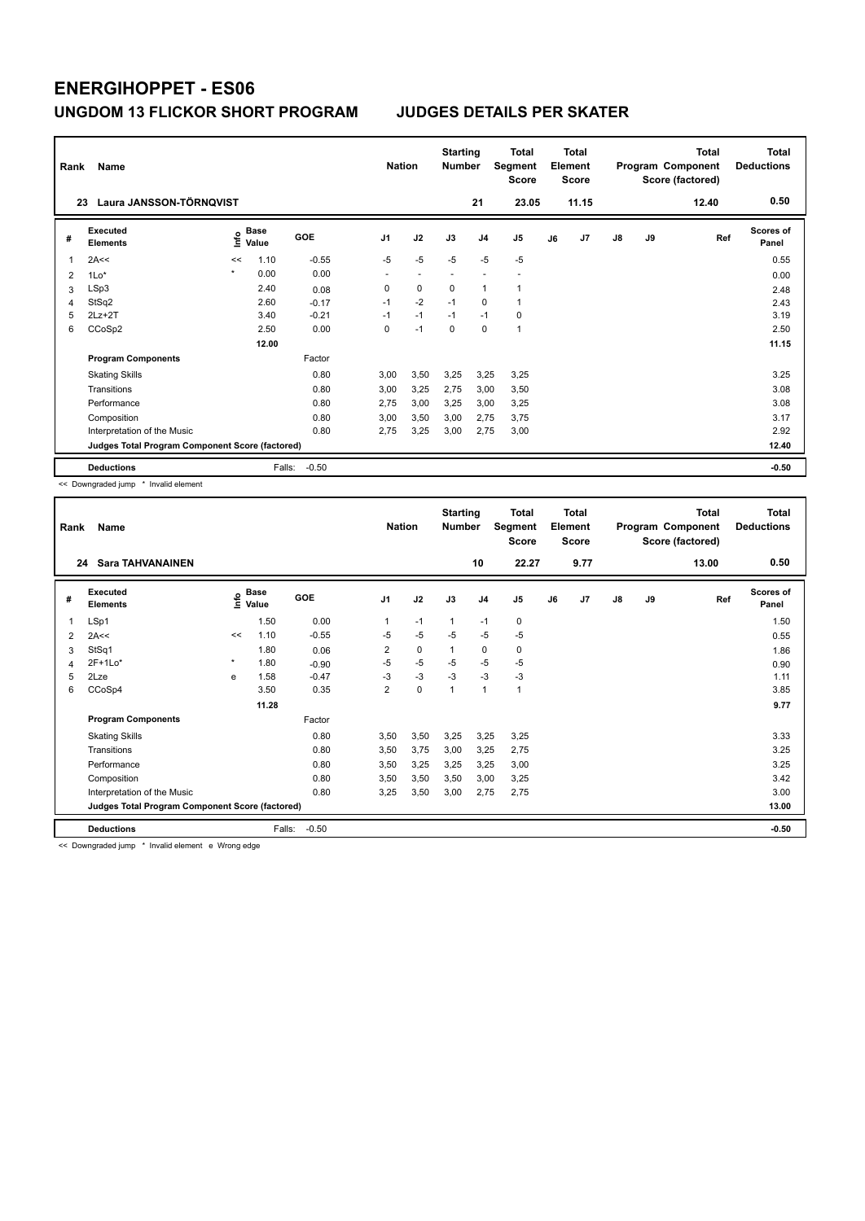| Rank | Name                                            |         |               |         | <b>Nation</b>  |      | <b>Starting</b><br><b>Number</b> |                | <b>Total</b><br>Segment<br><b>Score</b> |    | <b>Total</b><br>Element<br><b>Score</b> |               |    | <b>Total</b><br>Program Component<br>Score (factored) | <b>Total</b><br><b>Deductions</b> |
|------|-------------------------------------------------|---------|---------------|---------|----------------|------|----------------------------------|----------------|-----------------------------------------|----|-----------------------------------------|---------------|----|-------------------------------------------------------|-----------------------------------|
| 23   | Laura JANSSON-TÖRNOVIST                         |         |               |         |                |      |                                  | 21             | 23.05                                   |    | 11.15                                   |               |    | 12.40                                                 | 0.50                              |
| #    | Executed<br><b>Elements</b>                     | ١nf٥    | Base<br>Value | GOE     | J <sub>1</sub> | J2   | J3                               | J <sub>4</sub> | J <sub>5</sub>                          | J6 | J <sub>7</sub>                          | $\mathsf{J}8$ | J9 | Ref                                                   | <b>Scores of</b><br>Panel         |
| 1    | 2A<<                                            | <<      | 1.10          | $-0.55$ | $-5$           | $-5$ | $-5$                             | $-5$           | $-5$                                    |    |                                         |               |    |                                                       | 0.55                              |
| 2    | $1Lo*$                                          | $\star$ | 0.00          | 0.00    | ٠              |      |                                  |                |                                         |    |                                         |               |    |                                                       | 0.00                              |
| 3    | LSp3                                            |         | 2.40          | 0.08    | 0              | 0    | 0                                | $\overline{1}$ | 1                                       |    |                                         |               |    |                                                       | 2.48                              |
| 4    | StSq2                                           |         | 2.60          | $-0.17$ | $-1$           | $-2$ | $-1$                             | $\mathbf 0$    | $\mathbf 1$                             |    |                                         |               |    |                                                       | 2.43                              |
| 5    | $2Lz+2T$                                        |         | 3.40          | $-0.21$ | $-1$           | $-1$ | $-1$                             | $-1$           | $\mathbf 0$                             |    |                                         |               |    |                                                       | 3.19                              |
| 6    | CCoSp2                                          |         | 2.50          | 0.00    | 0              | $-1$ | 0                                | 0              | $\mathbf{1}$                            |    |                                         |               |    |                                                       | 2.50                              |
|      |                                                 |         | 12.00         |         |                |      |                                  |                |                                         |    |                                         |               |    |                                                       | 11.15                             |
|      | <b>Program Components</b>                       |         |               | Factor  |                |      |                                  |                |                                         |    |                                         |               |    |                                                       |                                   |
|      | <b>Skating Skills</b>                           |         |               | 0.80    | 3,00           | 3,50 | 3,25                             | 3,25           | 3,25                                    |    |                                         |               |    |                                                       | 3.25                              |
|      | Transitions                                     |         |               | 0.80    | 3,00           | 3,25 | 2,75                             | 3,00           | 3,50                                    |    |                                         |               |    |                                                       | 3.08                              |
|      | Performance                                     |         |               | 0.80    | 2,75           | 3,00 | 3,25                             | 3,00           | 3,25                                    |    |                                         |               |    |                                                       | 3.08                              |
|      | Composition                                     |         |               | 0.80    | 3.00           | 3,50 | 3,00                             | 2.75           | 3.75                                    |    |                                         |               |    |                                                       | 3.17                              |
|      | Interpretation of the Music                     |         |               | 0.80    | 2.75           | 3,25 | 3,00                             | 2,75           | 3,00                                    |    |                                         |               |    |                                                       | 2.92                              |
|      | Judges Total Program Component Score (factored) |         |               |         |                |      |                                  |                |                                         |    |                                         |               |    |                                                       | 12.40                             |
|      | <b>Deductions</b>                               |         | Falls:        | $-0.50$ |                |      |                                  |                |                                         |    |                                         |               |    |                                                       | $-0.50$                           |

<< Downgraded jump \* Invalid element

| Rank | Name                                            |         |                      | <b>Nation</b> |                | <b>Starting</b><br><b>Number</b> |              | Total<br>Segment<br><b>Score</b> |                | <b>Total</b><br>Element<br><b>Score</b> |                |    | <b>Total</b><br>Program Component<br>Score (factored) | <b>Total</b><br><b>Deductions</b> |                    |
|------|-------------------------------------------------|---------|----------------------|---------------|----------------|----------------------------------|--------------|----------------------------------|----------------|-----------------------------------------|----------------|----|-------------------------------------------------------|-----------------------------------|--------------------|
| 24   | <b>Sara TAHVANAINEN</b>                         |         |                      |               |                |                                  |              | 10                               | 22.27          |                                         | 9.77           |    |                                                       | 13.00                             | 0.50               |
| #    | Executed<br><b>Elements</b>                     | lnfo    | <b>Base</b><br>Value | GOE           | J <sub>1</sub> | J2                               | J3           | J <sub>4</sub>                   | J <sub>5</sub> | J6                                      | J <sub>7</sub> | J8 | J9                                                    | Ref                               | Scores of<br>Panel |
| 1    | LSp1                                            |         | 1.50                 | 0.00          | 1              | $-1$                             | $\mathbf{1}$ | $-1$                             | 0              |                                         |                |    |                                                       |                                   | 1.50               |
| 2    | 2A<<                                            | <<      | 1.10                 | $-0.55$       | $-5$           | $-5$                             | $-5$         | $-5$                             | $-5$           |                                         |                |    |                                                       |                                   | 0.55               |
| 3    | StSq1                                           |         | 1.80                 | 0.06          | $\overline{2}$ | 0                                | 1            | 0                                | 0              |                                         |                |    |                                                       |                                   | 1.86               |
| 4    | $2F+1Lo*$                                       | $\star$ | 1.80                 | $-0.90$       | $-5$           | $-5$                             | $-5$         | $-5$                             | $-5$           |                                         |                |    |                                                       |                                   | 0.90               |
| 5    | 2Lze                                            | e       | 1.58                 | $-0.47$       | $-3$           | $-3$                             | $-3$         | $-3$                             | $-3$           |                                         |                |    |                                                       |                                   | 1.11               |
| 6    | CCoSp4                                          |         | 3.50                 | 0.35          | $\overline{2}$ | 0                                | 1            | $\mathbf{1}$                     | $\mathbf{1}$   |                                         |                |    |                                                       |                                   | 3.85               |
|      |                                                 |         | 11.28                |               |                |                                  |              |                                  |                |                                         |                |    |                                                       |                                   | 9.77               |
|      | <b>Program Components</b>                       |         |                      | Factor        |                |                                  |              |                                  |                |                                         |                |    |                                                       |                                   |                    |
|      | <b>Skating Skills</b>                           |         |                      | 0.80          | 3,50           | 3,50                             | 3,25         | 3,25                             | 3,25           |                                         |                |    |                                                       |                                   | 3.33               |
|      | Transitions                                     |         |                      | 0.80          | 3,50           | 3,75                             | 3,00         | 3,25                             | 2,75           |                                         |                |    |                                                       |                                   | 3.25               |
|      | Performance                                     |         |                      | 0.80          | 3,50           | 3,25                             | 3,25         | 3,25                             | 3,00           |                                         |                |    |                                                       |                                   | 3.25               |
|      | Composition                                     |         |                      | 0.80          | 3,50           | 3,50                             | 3,50         | 3,00                             | 3,25           |                                         |                |    |                                                       |                                   | 3.42               |
|      | Interpretation of the Music                     |         |                      | 0.80          | 3,25           | 3,50                             | 3,00         | 2,75                             | 2,75           |                                         |                |    |                                                       |                                   | 3.00               |
|      | Judges Total Program Component Score (factored) |         |                      |               |                |                                  |              |                                  |                |                                         |                |    |                                                       |                                   | 13.00              |
|      | <b>Deductions</b>                               |         | Falls:               | $-0.50$       |                |                                  |              |                                  |                |                                         |                |    |                                                       |                                   | $-0.50$            |

<< Downgraded jump \* Invalid element e Wrong edge